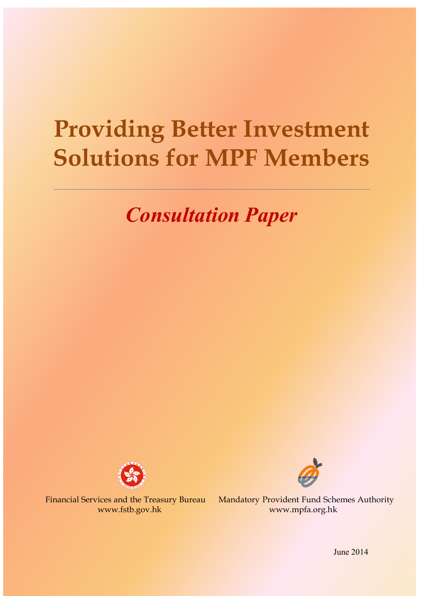# **Providing Better Investment Solutions for MPF Members**

# *Consultation Paper*





Financial Services and the Treasury Bureau Mandatory Provident Fund Schemes Authority www.fstb.gov.hk www.mpfa.org.hk

June 2014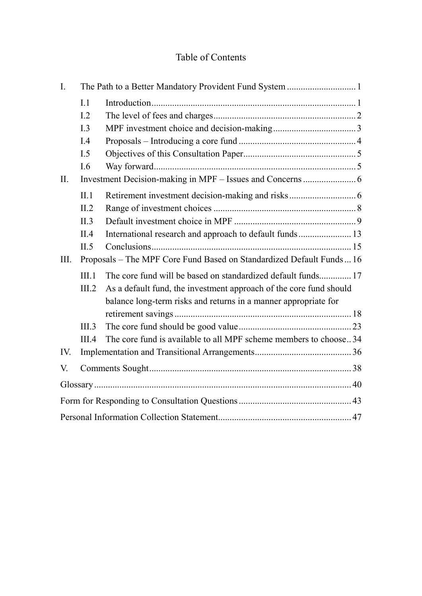## Table of Contents

| $\mathbf{I}$ . |                                                                      |                                                                    |
|----------------|----------------------------------------------------------------------|--------------------------------------------------------------------|
|                | L1                                                                   |                                                                    |
|                | L <sub>2</sub>                                                       |                                                                    |
|                | I.3                                                                  |                                                                    |
|                | I.4                                                                  |                                                                    |
|                | I.5                                                                  |                                                                    |
|                | I.6                                                                  |                                                                    |
| II.            |                                                                      |                                                                    |
|                | II.1                                                                 |                                                                    |
|                | II.2                                                                 |                                                                    |
|                | II.3                                                                 |                                                                    |
|                | II.4                                                                 |                                                                    |
|                | II.5                                                                 |                                                                    |
| III.           | Proposals - The MPF Core Fund Based on Standardized Default Funds 16 |                                                                    |
|                | III.1                                                                | The core fund will be based on standardized default funds 17       |
|                | III.2                                                                | As a default fund, the investment approach of the core fund should |
|                |                                                                      | balance long-term risks and returns in a manner appropriate for    |
|                |                                                                      |                                                                    |
|                | III.3                                                                |                                                                    |
|                | III.4                                                                | The core fund is available to all MPF scheme members to choose34   |
| IV.            |                                                                      |                                                                    |
| V.             |                                                                      |                                                                    |
|                |                                                                      |                                                                    |
|                |                                                                      |                                                                    |
|                |                                                                      |                                                                    |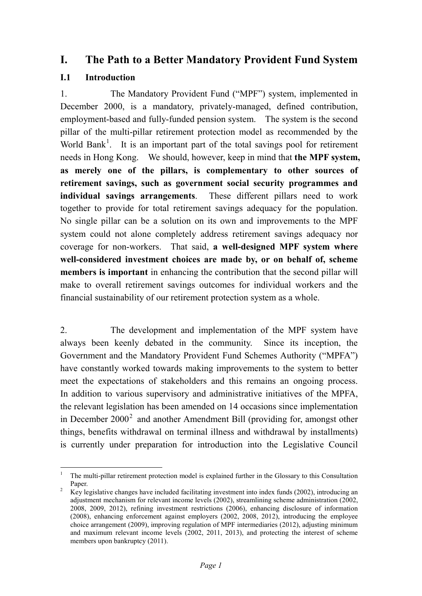## <span id="page-2-0"></span>**I. The Path to a Better Mandatory Provident Fund System**

### <span id="page-2-1"></span>**I.1 Introduction**

1. The Mandatory Provident Fund ("MPF") system, implemented in December 2000, is a mandatory, privately-managed, defined contribution, employment-based and fully-funded pension system. The system is the second pillar of the multi-pillar retirement protection model as recommended by the World Bank<sup>[1](#page-2-2)</sup>. It is an important part of the total savings pool for retirement needs in Hong Kong. We should, however, keep in mind that **the MPF system, as merely one of the pillars, is complementary to other sources of retirement savings, such as government social security programmes and individual savings arrangements**. These different pillars need to work together to provide for total retirement savings adequacy for the population. No single pillar can be a solution on its own and improvements to the MPF system could not alone completely address retirement savings adequacy nor coverage for non-workers. That said, **a well-designed MPF system where well-considered investment choices are made by, or on behalf of, scheme members is important** in enhancing the contribution that the second pillar will make to overall retirement savings outcomes for individual workers and the financial sustainability of our retirement protection system as a whole.

2. The development and implementation of the MPF system have always been keenly debated in the community. Since its inception, the Government and the Mandatory Provident Fund Schemes Authority ("MPFA") have constantly worked towards making improvements to the system to better meet the expectations of stakeholders and this remains an ongoing process. In addition to various supervisory and administrative initiatives of the MPFA, the relevant legislation has been amended on 14 occasions since implementation in December [2](#page-2-3)000<sup>2</sup> and another Amendment Bill (providing for, amongst other things, benefits withdrawal on terminal illness and withdrawal by installments) is currently under preparation for introduction into the Legislative Council

<span id="page-2-2"></span><sup>&</sup>lt;sup>1</sup> The multi-pillar retirement protection model is explained further in the Glossary to this Consultation Paper.<br><sup>2</sup> Key legislative changes have included facilitating investment into index funds (2002), introducing an

<span id="page-2-4"></span><span id="page-2-3"></span>adjustment mechanism for relevant income levels (2002), streamlining scheme administration (2002, 2008, 2009, 2012), refining investment restrictions (2006), enhancing disclosure of information (2008), enhancing enforcement against employers (2002, 2008, 2012), introducing the employee choice arrangement (2009), improving regulation of MPF intermediaries (2012), adjusting minimum and maximum relevant income levels (2002, 2011, 2013), and protecting the interest of scheme members upon bankruptcy (2011).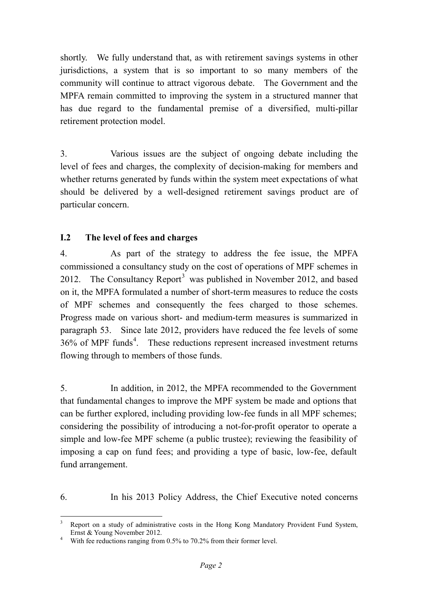shortly. We fully understand that, as with retirement savings systems in other jurisdictions, a system that is so important to so many members of the community will continue to attract vigorous debate. The Government and the MPFA remain committed to improving the system in a structured manner that has due regard to the fundamental premise of a diversified, multi-pillar retirement protection model.

3. Various issues are the subject of ongoing debate including the level of fees and charges, the complexity of decision-making for members and whether returns generated by funds within the system meet expectations of what should be delivered by a well-designed retirement savings product are of particular concern.

### <span id="page-3-0"></span>**I.2 The level of fees and charges**

4. As part of the strategy to address the fee issue, the MPFA commissioned a consultancy study on the cost of operations of MPF schemes in 2012. The Consultancy Report<sup>[3](#page-2-4)</sup> was published in November 2012, and based on it, the MPFA formulated a number of short-term measures to reduce the costs of MPF schemes and consequently the fees charged to those schemes. Progress made on various short- and medium-term measures is summarized in paragraph 53. Since late 2012, providers have reduced the fee levels of some  $36\%$  of MPF funds<sup>[4](#page-3-1)</sup>. These reductions represent increased investment returns flowing through to members of those funds.

5. In addition, in 2012, the MPFA recommended to the Government that fundamental changes to improve the MPF system be made and options that can be further explored, including providing low-fee funds in all MPF schemes; considering the possibility of introducing a not-for-profit operator to operate a simple and low-fee MPF scheme (a public trustee); reviewing the feasibility of imposing a cap on fund fees; and providing a type of basic, low-fee, default fund arrangement.

6. In his 2013 Policy Address, the Chief Executive noted concerns

 <sup>3</sup> Report on a study of administrative costs in the Hong Kong Mandatory Provident Fund System, Ernst & Young November 2012.<br><sup>4</sup> With fee reductions ranging from 0.5% to 70.2% from their former level.

<span id="page-3-1"></span>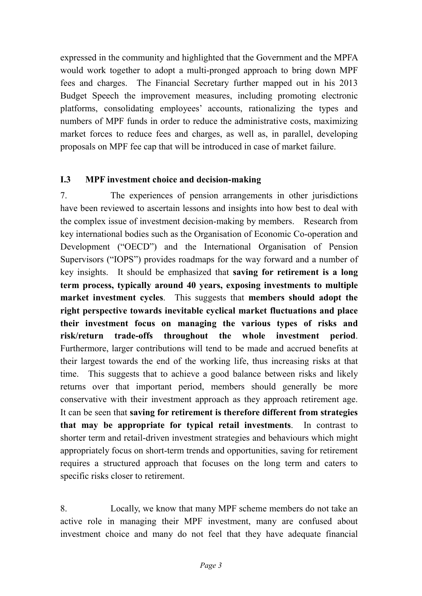expressed in the community and highlighted that the Government and the MPFA would work together to adopt a multi-pronged approach to bring down MPF fees and charges. The Financial Secretary further mapped out in his 2013 Budget Speech the improvement measures, including promoting electronic platforms, consolidating employees' accounts, rationalizing the types and numbers of MPF funds in order to reduce the administrative costs, maximizing market forces to reduce fees and charges, as well as, in parallel, developing proposals on MPF fee cap that will be introduced in case of market failure.

#### <span id="page-4-0"></span>**I.3 MPF investment choice and decision-making**

7. The experiences of pension arrangements in other jurisdictions have been reviewed to ascertain lessons and insights into how best to deal with the complex issue of investment decision-making by members. Research from key international bodies such as the Organisation of Economic Co-operation and Development ("OECD") and the International Organisation of Pension Supervisors ("IOPS") provides roadmaps for the way forward and a number of key insights. It should be emphasized that **saving for retirement is a long term process, typically around 40 years, exposing investments to multiple market investment cycles**. This suggests that **members should adopt the right perspective towards inevitable cyclical market fluctuations and place their investment focus on managing the various types of risks and risk/return trade-offs throughout the whole investment period**. Furthermore, larger contributions will tend to be made and accrued benefits at their largest towards the end of the working life, thus increasing risks at that time. This suggests that to achieve a good balance between risks and likely returns over that important period, members should generally be more conservative with their investment approach as they approach retirement age. It can be seen that **saving for retirement is therefore different from strategies that may be appropriate for typical retail investments**. In contrast to shorter term and retail-driven investment strategies and behaviours which might appropriately focus on short-term trends and opportunities, saving for retirement requires a structured approach that focuses on the long term and caters to specific risks closer to retirement.

8. Locally, we know that many MPF scheme members do not take an active role in managing their MPF investment, many are confused about investment choice and many do not feel that they have adequate financial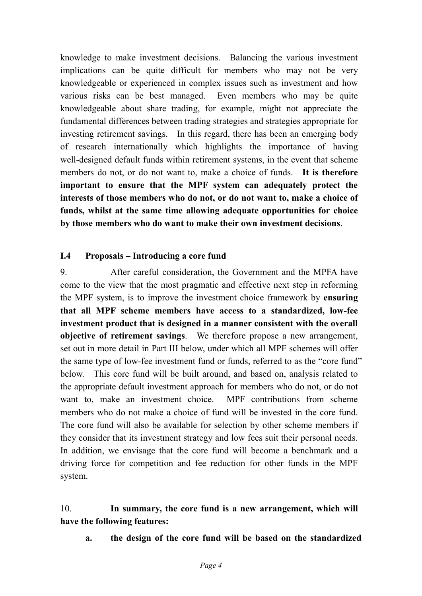knowledge to make investment decisions. Balancing the various investment implications can be quite difficult for members who may not be very knowledgeable or experienced in complex issues such as investment and how various risks can be best managed. Even members who may be quite knowledgeable about share trading, for example, might not appreciate the fundamental differences between trading strategies and strategies appropriate for investing retirement savings. In this regard, there has been an emerging body of research internationally which highlights the importance of having well-designed default funds within retirement systems, in the event that scheme members do not, or do not want to, make a choice of funds. **It is therefore important to ensure that the MPF system can adequately protect the interests of those members who do not, or do not want to, make a choice of funds, whilst at the same time allowing adequate opportunities for choice by those members who do want to make their own investment decisions**.

#### <span id="page-5-0"></span>**I.4 Proposals – Introducing a core fund**

9. After careful consideration, the Government and the MPFA have come to the view that the most pragmatic and effective next step in reforming the MPF system, is to improve the investment choice framework by **ensuring that all MPF scheme members have access to a standardized, low-fee investment product that is designed in a manner consistent with the overall objective of retirement savings**. We therefore propose a new arrangement, set out in more detail in Part III below, under which all MPF schemes will offer the same type of low-fee investment fund or funds, referred to as the "core fund" below. This core fund will be built around, and based on, analysis related to the appropriate default investment approach for members who do not, or do not want to, make an investment choice. MPF contributions from scheme members who do not make a choice of fund will be invested in the core fund. The core fund will also be available for selection by other scheme members if they consider that its investment strategy and low fees suit their personal needs. In addition, we envisage that the core fund will become a benchmark and a driving force for competition and fee reduction for other funds in the MPF system.

#### 10. **In summary, the core fund is a new arrangement, which will have the following features:**

**a. the design of the core fund will be based on the standardized**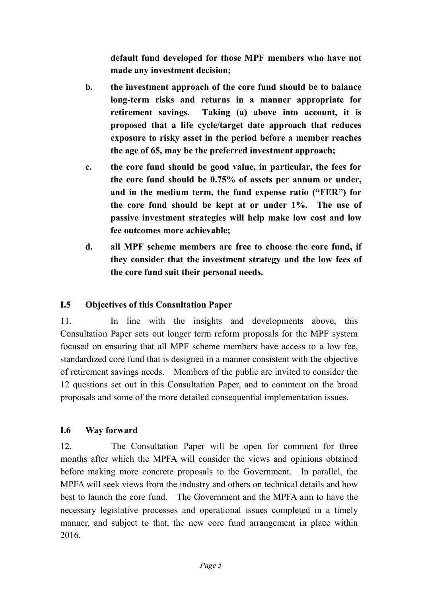**default fund developed for those MPF members who have not made any investment decision;**

- **b. the investment approach of the core fund should be to balance long-term risks and returns in a manner appropriate for retirement savings. Taking (a) above into account, it is proposed that a life cycle/target date approach that reduces exposure to risky asset in the period before a member reaches the age of 65, may be the preferred investment approach;**
- **c. the core fund should be good value, in particular, the fees for the core fund should be 0.75% of assets per annum or under, and in the medium term, the fund expense ratio ("FER") for the core fund should be kept at or under 1%. The use of passive investment strategies will help make low cost and low fee outcomes more achievable;**
- **d. all MPF scheme members are free to choose the core fund, if they consider that the investment strategy and the low fees of the core fund suit their personal needs.**

#### <span id="page-6-0"></span>**I.5 Objectives of this Consultation Paper**

11. In line with the insights and developments above, this Consultation Paper sets out longer term reform proposals for the MPF system focused on ensuring that all MPF scheme members have access to a low fee, standardized core fund that is designed in a manner consistent with the objective of retirement savings needs. Members of the public are invited to consider the 12 questions set out in this Consultation Paper, and to comment on the broad proposals and some of the more detailed consequential implementation issues.

#### <span id="page-6-1"></span>**I.6 Way forward**

12. The Consultation Paper will be open for comment for three months after which the MPFA will consider the views and opinions obtained before making more concrete proposals to the Government. In parallel, the MPFA will seek views from the industry and others on technical details and how best to launch the core fund. The Government and the MPFA aim to have the necessary legislative processes and operational issues completed in a timely manner, and subject to that, the new core fund arrangement in place within 2016.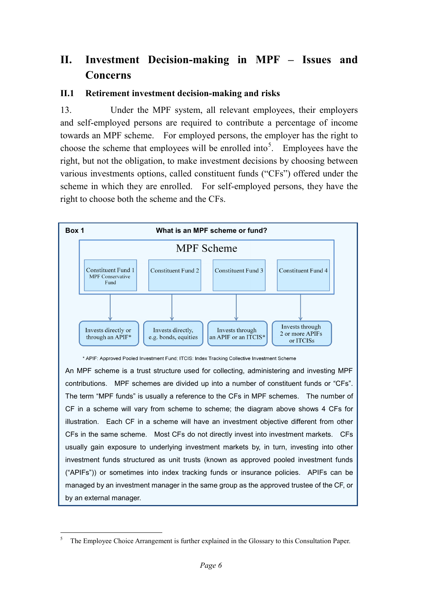# <span id="page-7-0"></span>**II. Investment Decision-making in MPF – Issues and Concerns**

#### <span id="page-7-1"></span>**II.1 Retirement investment decision-making and risks**

13. Under the MPF system, all relevant employees, their employers and self-employed persons are required to contribute a percentage of income towards an MPF scheme. For employed persons, the employer has the right to choose the scheme that employees will be enrolled into<sup>[5](#page-3-1)</sup>. Employees have the right, but not the obligation, to make investment decisions by choosing between various investments options, called constituent funds ("CFs") offered under the scheme in which they are enrolled. For self-employed persons, they have the right to choose both the scheme and the CFs.



\* APIF: Approved Pooled Investment Fund; ITCIS: Index Tracking Collective Investment Scheme

An MPF scheme is a trust structure used for collecting, administering and investing MPF contributions. MPF schemes are divided up into a number of constituent funds or "CFs". The term "MPF funds" is usually a reference to the CFs in MPF schemes. The number of CF in a scheme will vary from scheme to scheme; the diagram above shows 4 CFs for illustration. Each CF in a scheme will have an investment objective different from other CFs in the same scheme. Most CFs do not directly invest into investment markets. CFs usually gain exposure to underlying investment markets by, in turn, investing into other investment funds structured as unit trusts (known as approved pooled investment funds ("APIFs")) or sometimes into index tracking funds or insurance policies. APIFs can be managed by an investment manager in the same group as the approved trustee of the CF, or by an external manager.

<span id="page-7-2"></span> <sup>5</sup> The Employee Choice Arrangement is further explained in the Glossary to this Consultation Paper.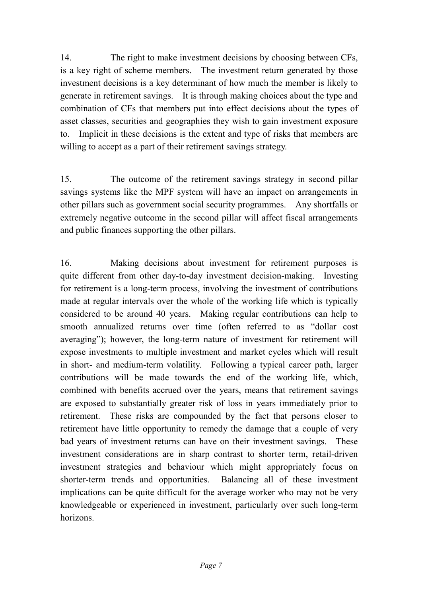14. The right to make investment decisions by choosing between CFs, is a key right of scheme members. The investment return generated by those investment decisions is a key determinant of how much the member is likely to generate in retirement savings. It is through making choices about the type and combination of CFs that members put into effect decisions about the types of asset classes, securities and geographies they wish to gain investment exposure to. Implicit in these decisions is the extent and type of risks that members are willing to accept as a part of their retirement savings strategy.

15. The outcome of the retirement savings strategy in second pillar savings systems like the MPF system will have an impact on arrangements in other pillars such as government social security programmes. Any shortfalls or extremely negative outcome in the second pillar will affect fiscal arrangements and public finances supporting the other pillars.

16. Making decisions about investment for retirement purposes is quite different from other day-to-day investment decision-making. Investing for retirement is a long-term process, involving the investment of contributions made at regular intervals over the whole of the working life which is typically considered to be around 40 years. Making regular contributions can help to smooth annualized returns over time (often referred to as "dollar cost averaging"); however, the long-term nature of investment for retirement will expose investments to multiple investment and market cycles which will result in short- and medium-term volatility. Following a typical career path, larger contributions will be made towards the end of the working life, which, combined with benefits accrued over the years, means that retirement savings are exposed to substantially greater risk of loss in years immediately prior to retirement. These risks are compounded by the fact that persons closer to retirement have little opportunity to remedy the damage that a couple of very bad years of investment returns can have on their investment savings. These investment considerations are in sharp contrast to shorter term, retail-driven investment strategies and behaviour which might appropriately focus on shorter-term trends and opportunities. Balancing all of these investment implications can be quite difficult for the average worker who may not be very knowledgeable or experienced in investment, particularly over such long-term horizons.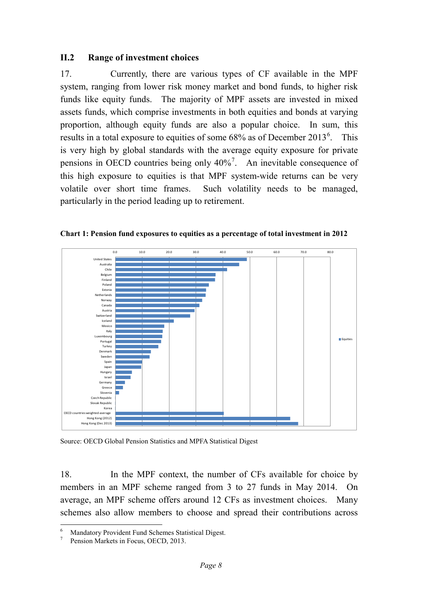#### <span id="page-9-0"></span>**II.2 Range of investment choices**

17. Currently, there are various types of CF available in the MPF system, ranging from lower risk money market and bond funds, to higher risk funds like equity funds. The majority of MPF assets are invested in mixed assets funds, which comprise investments in both equities and bonds at varying proportion, although equity funds are also a popular choice. In sum, this results in a total exposure to equities of some  $68\%$  $68\%$  as of December  $2013^6$ . This is very high by global standards with the average equity exposure for private pensions in OECD countries being only  $40\%$ <sup>[7](#page-9-1)</sup>. An inevitable consequence of this high exposure to equities is that MPF system-wide returns can be very volatile over short time frames. Such volatility needs to be managed, particularly in the period leading up to retirement.



**Chart 1: Pension fund exposures to equities as a percentage of total investment in 2012**

Source: OECD Global Pension Statistics and MPFA Statistical Digest

18. In the MPF context, the number of CFs available for choice by members in an MPF scheme ranged from 3 to 27 funds in May 2014. On average, an MPF scheme offers around 12 CFs as investment choices. Many schemes also allow members to choose and spread their contributions across

<span id="page-9-2"></span>Mandatory Provident Fund Schemes Statistical Digest.<br>Pension Markets in Focus, OECD, 2013.

<span id="page-9-1"></span>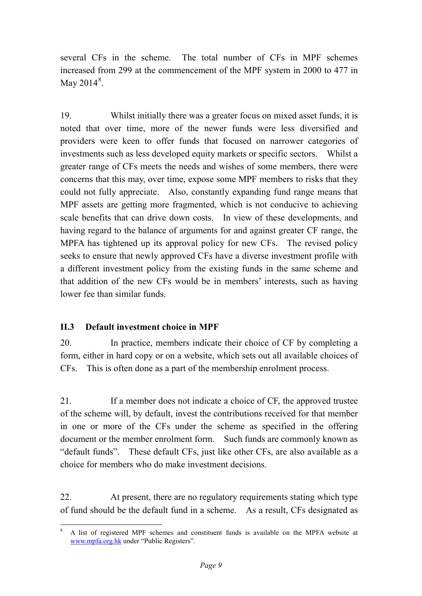several CFs in the scheme. The total number of CFs in MPF schemes increased from 299 at the commencement of the MPF system in 2000 to 477 in May  $2014^8$  $2014^8$ .

19. Whilst initially there was a greater focus on mixed asset funds, it is noted that over time, more of the newer funds were less diversified and providers were keen to offer funds that focused on narrower categories of investments such as less developed equity markets or specific sectors. Whilst a greater range of CFs meets the needs and wishes of some members, there were concerns that this may, over time, expose some MPF members to risks that they could not fully appreciate. Also, constantly expanding fund range means that MPF assets are getting more fragmented, which is not conducive to achieving scale benefits that can drive down costs. In view of these developments, and having regard to the balance of arguments for and against greater CF range, the MPFA has tightened up its approval policy for new CFs. The revised policy seeks to ensure that newly approved CFs have a diverse investment profile with a different investment policy from the existing funds in the same scheme and that addition of the new CFs would be in members' interests, such as having lower fee than similar funds.

#### <span id="page-10-0"></span>**II.3 Default investment choice in MPF**

20. In practice, members indicate their choice of CF by completing a form, either in hard copy or on a website, which sets out all available choices of CFs. This is often done as a part of the membership enrolment process.

21. If a member does not indicate a choice of CF, the approved trustee of the scheme will, by default, invest the contributions received for that member in one or more of the CFs under the scheme as specified in the offering document or the member enrolment form. Such funds are commonly known as "default funds". These default CFs, just like other CFs, are also available as a choice for members who do make investment decisions.

22. At present, there are no regulatory requirements stating which type of fund should be the default fund in a scheme. As a result, CFs designated as

<span id="page-10-1"></span> <sup>8</sup> A list of registered MPF schemes and constituent funds is available on the MPFA website at [www.mpfa.org.hk](http://www.mpfa.org.hk/) under "Public Registers".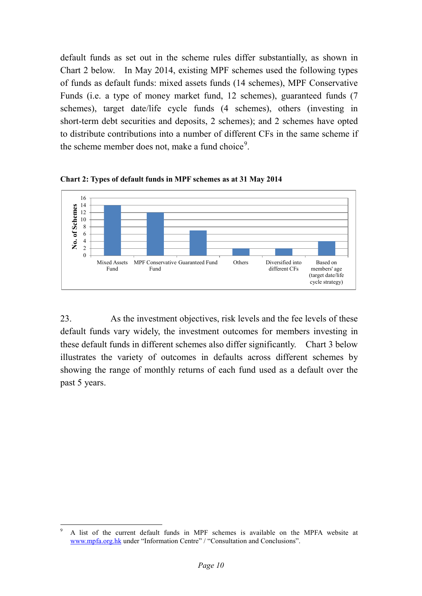default funds as set out in the scheme rules differ substantially, as shown in Chart 2 below. In May 2014, existing MPF schemes used the following types of funds as default funds: mixed assets funds (14 schemes), MPF Conservative Funds (i.e. a type of money market fund, 12 schemes), guaranteed funds (7 schemes), target date/life cycle funds (4 schemes), others (investing in short-term debt securities and deposits, 2 schemes); and 2 schemes have opted to distribute contributions into a number of different CFs in the same scheme if the scheme member does not, make a fund choice<sup>[9](#page-10-1)</sup>.



**Chart 2: Types of default funds in MPF schemes as at 31 May 2014** 

23. As the investment objectives, risk levels and the fee levels of these default funds vary widely, the investment outcomes for members investing in these default funds in different schemes also differ significantly. Chart 3 below illustrates the variety of outcomes in defaults across different schemes by showing the range of monthly returns of each fund used as a default over the past 5 years.

<span id="page-11-0"></span> <sup>9</sup> A list of the current default funds in MPF schemes is available on the MPFA website at [www.mpfa.org.hk](http://www.mpfa.org.hk/) under "Information Centre" / "Consultation and Conclusions".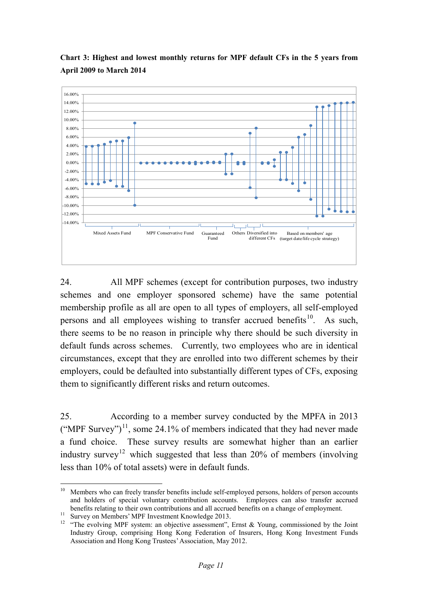

**Chart 3: Highest and lowest monthly returns for MPF default CFs in the 5 years from April 2009 to March 2014**

24. All MPF schemes (except for contribution purposes, two industry schemes and one employer sponsored scheme) have the same potential membership profile as all are open to all types of employers, all self-employed persons and all employees wishing to transfer accrued benefits<sup>10</sup>. As such, there seems to be no reason in principle why there should be such diversity in default funds across schemes. Currently, two employees who are in identical circumstances, except that they are enrolled into two different schemes by their employers, could be defaulted into substantially different types of CFs, exposing them to significantly different risks and return outcomes.

25. According to a member survey conducted by the MPFA in 2013 ("MPF Survey")<sup>11</sup>, some 24.1% of members indicated that they had never made a fund choice. These survey results are somewhat higher than an earlier industry survey<sup>[12](#page-12-1)</sup> which suggested that less than 20% of members (involving less than 10% of total assets) were in default funds.

<sup>&</sup>lt;sup>10</sup> Members who can freely transfer benefits include self-employed persons, holders of person accounts and holders of special voluntary contribution accounts. Employees can also transfer accrued benefits relating to their own contributions and all accrued benefits on a change of employment.

<span id="page-12-2"></span><span id="page-12-1"></span><span id="page-12-0"></span><sup>&</sup>lt;sup>11</sup> Survey on Members' MPF Investment Knowledge 2013.<br><sup>12</sup> "The evolving MPF system: an objective assessment", Ernst & Young, commissioned by the Joint Industry Group, comprising Hong Kong Federation of Insurers, Hong Kong Investment Funds Association and Hong Kong Trustees'Association, May 2012.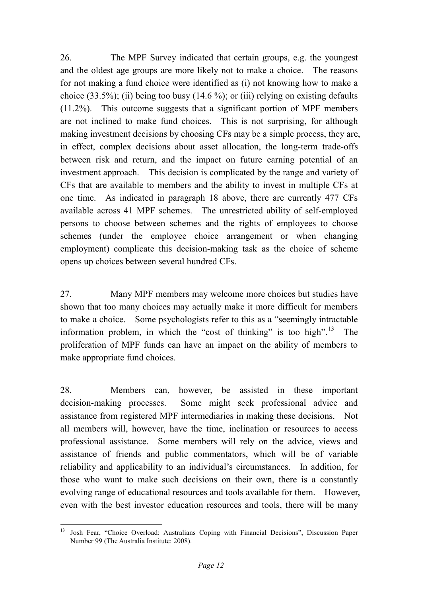26. The MPF Survey indicated that certain groups, e.g. the youngest and the oldest age groups are more likely not to make a choice. The reasons for not making a fund choice were identified as (i) not knowing how to make a choice  $(33.5\%)$ ; (ii) being too busy  $(14.6\%)$ ; or (iii) relying on existing defaults (11.2%). This outcome suggests that a significant portion of MPF members are not inclined to make fund choices. This is not surprising, for although making investment decisions by choosing CFs may be a simple process, they are, in effect, complex decisions about asset allocation, the long-term trade-offs between risk and return, and the impact on future earning potential of an investment approach. This decision is complicated by the range and variety of CFs that are available to members and the ability to invest in multiple CFs at one time. As indicated in paragraph 18 above, there are currently 477 CFs available across 41 MPF schemes. The unrestricted ability of self-employed persons to choose between schemes and the rights of employees to choose schemes (under the employee choice arrangement or when changing employment) complicate this decision-making task as the choice of scheme opens up choices between several hundred CFs.

27. Many MPF members may welcome more choices but studies have shown that too many choices may actually make it more difficult for members to make a choice. Some psychologists refer to this as a "seemingly intractable information problem, in which the "cost of thinking" is too high".<sup>13</sup> The proliferation of MPF funds can have an impact on the ability of members to make appropriate fund choices.

28. Members can, however, be assisted in these important decision-making processes. Some might seek professional advice and assistance from registered MPF intermediaries in making these decisions. Not all members will, however, have the time, inclination or resources to access professional assistance. Some members will rely on the advice, views and assistance of friends and public commentators, which will be of variable reliability and applicability to an individual's circumstances. In addition, for those who want to make such decisions on their own, there is a constantly evolving range of educational resources and tools available for them. However, even with the best investor education resources and tools, there will be many

<span id="page-13-0"></span> <sup>13</sup> Josh Fear, "Choice Overload: Australians Coping with Financial Decisions", Discussion Paper Number 99 (The Australia Institute: 2008).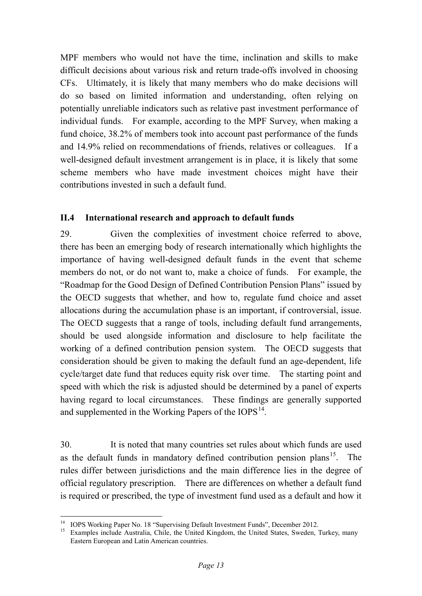MPF members who would not have the time, inclination and skills to make difficult decisions about various risk and return trade-offs involved in choosing CFs. Ultimately, it is likely that many members who do make decisions will do so based on limited information and understanding, often relying on potentially unreliable indicators such as relative past investment performance of individual funds. For example, according to the MPF Survey, when making a fund choice, 38.2% of members took into account past performance of the funds and 14.9% relied on recommendations of friends, relatives or colleagues. If a well-designed default investment arrangement is in place, it is likely that some scheme members who have made investment choices might have their contributions invested in such a default fund.

#### <span id="page-14-0"></span>**II.4 International research and approach to default funds**

29. Given the complexities of investment choice referred to above, there has been an emerging body of research internationally which highlights the importance of having well-designed default funds in the event that scheme members do not, or do not want to, make a choice of funds. For example, the "Roadmap for the Good Design of Defined Contribution Pension Plans" issued by the OECD suggests that whether, and how to, regulate fund choice and asset allocations during the accumulation phase is an important, if controversial, issue. The OECD suggests that a range of tools, including default fund arrangements, should be used alongside information and disclosure to help facilitate the working of a defined contribution pension system. The OECD suggests that consideration should be given to making the default fund an age-dependent, life cycle/target date fund that reduces equity risk over time. The starting point and speed with which the risk is adjusted should be determined by a panel of experts having regard to local circumstances. These findings are generally supported and supplemented in the Working Papers of the IOPS<sup>14</sup>.

30. It is noted that many countries set rules about which funds are used as the default funds in mandatory defined contribution pension plans<sup>[15](#page-14-1)</sup>. The rules differ between jurisdictions and the main difference lies in the degree of official regulatory prescription. There are differences on whether a default fund is required or prescribed, the type of investment fund used as a default and how it

<span id="page-14-1"></span><sup>&</sup>lt;sup>14</sup> IOPS Working Paper No. 18 "Supervising Default Investment Funds", December 2012.<br><sup>15</sup> Examples include Australia, Chile, the United Kingdom, the United States, Sweden, Turkey, many Eastern European and Latin American countries.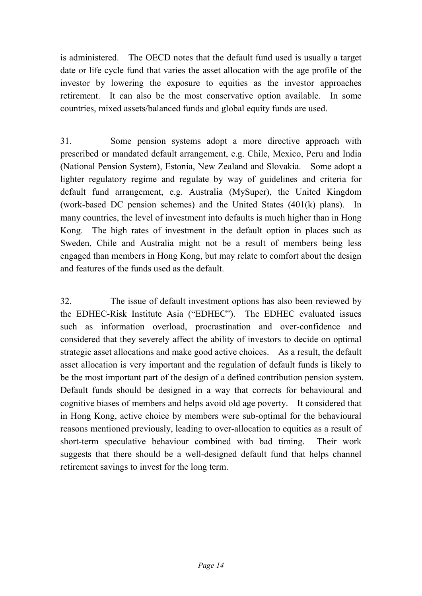is administered. The OECD notes that the default fund used is usually a target date or life cycle fund that varies the asset allocation with the age profile of the investor by lowering the exposure to equities as the investor approaches retirement. It can also be the most conservative option available. In some countries, mixed assets/balanced funds and global equity funds are used.

31. Some pension systems adopt a more directive approach with prescribed or mandated default arrangement, e.g. Chile, Mexico, Peru and India (National Pension System), Estonia, New Zealand and Slovakia. Some adopt a lighter regulatory regime and regulate by way of guidelines and criteria for default fund arrangement, e.g. Australia (MySuper), the United Kingdom (work-based DC pension schemes) and the United States (401(k) plans). In many countries, the level of investment into defaults is much higher than in Hong Kong. The high rates of investment in the default option in places such as Sweden, Chile and Australia might not be a result of members being less engaged than members in Hong Kong, but may relate to comfort about the design and features of the funds used as the default.

32. The issue of default investment options has also been reviewed by the EDHEC-Risk Institute Asia ("EDHEC"). The EDHEC evaluated issues such as information overload, procrastination and over-confidence and considered that they severely affect the ability of investors to decide on optimal strategic asset allocations and make good active choices. As a result, the default asset allocation is very important and the regulation of default funds is likely to be the most important part of the design of a defined contribution pension system. Default funds should be designed in a way that corrects for behavioural and cognitive biases of members and helps avoid old age poverty. It considered that in Hong Kong, active choice by members were sub-optimal for the behavioural reasons mentioned previously, leading to over-allocation to equities as a result of short-term speculative behaviour combined with bad timing. Their work suggests that there should be a well-designed default fund that helps channel retirement savings to invest for the long term.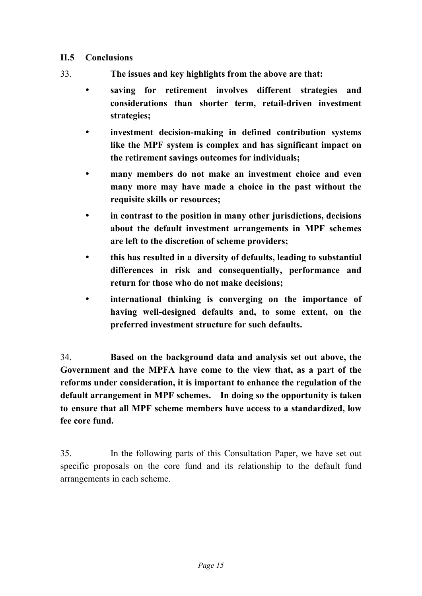#### <span id="page-16-0"></span>**II.5 Conclusions**

- 33. **The issues and key highlights from the above are that:**
	- **saving for retirement involves different strategies and considerations than shorter term, retail-driven investment strategies;**
	- **investment decision-making in defined contribution systems like the MPF system is complex and has significant impact on the retirement savings outcomes for individuals;**
	- **many members do not make an investment choice and even many more may have made a choice in the past without the requisite skills or resources;**
	- **in contrast to the position in many other jurisdictions, decisions about the default investment arrangements in MPF schemes are left to the discretion of scheme providers;**
	- **this has resulted in a diversity of defaults, leading to substantial differences in risk and consequentially, performance and return for those who do not make decisions;**
	- **international thinking is converging on the importance of having well-designed defaults and, to some extent, on the preferred investment structure for such defaults.**

34. **Based on the background data and analysis set out above, the Government and the MPFA have come to the view that, as a part of the reforms under consideration, it is important to enhance the regulation of the default arrangement in MPF schemes. In doing so the opportunity is taken to ensure that all MPF scheme members have access to a standardized, low fee core fund.**

35. In the following parts of this Consultation Paper, we have set out specific proposals on the core fund and its relationship to the default fund arrangements in each scheme.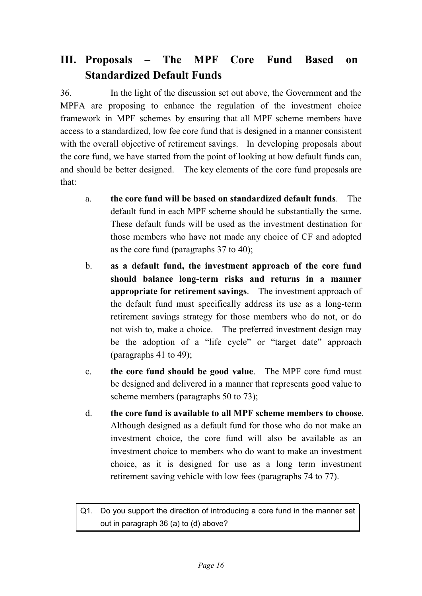# <span id="page-17-0"></span>**III. Proposals – The MPF Core Fund Based on Standardized Default Funds**

36. In the light of the discussion set out above, the Government and the MPFA are proposing to enhance the regulation of the investment choice framework in MPF schemes by ensuring that all MPF scheme members have access to a standardized, low fee core fund that is designed in a manner consistent with the overall objective of retirement savings. In developing proposals about the core fund, we have started from the point of looking at how default funds can, and should be better designed. The key elements of the core fund proposals are that:

- a. **the core fund will be based on standardized default funds**. The default fund in each MPF scheme should be substantially the same. These default funds will be used as the investment destination for those members who have not made any choice of CF and adopted as the core fund (paragraphs 37 to 40);
- b. **as a default fund, the investment approach of the core fund should balance long-term risks and returns in a manner appropriate for retirement savings**. The investment approach of the default fund must specifically address its use as a long-term retirement savings strategy for those members who do not, or do not wish to, make a choice. The preferred investment design may be the adoption of a "life cycle" or "target date" approach (paragraphs 41 to 49);
- c. **the core fund should be good value**. The MPF core fund must be designed and delivered in a manner that represents good value to scheme members (paragraphs 50 to 73);
- d. **the core fund is available to all MPF scheme members to choose**. Although designed as a default fund for those who do not make an investment choice, the core fund will also be available as an investment choice to members who do want to make an investment choice, as it is designed for use as a long term investment retirement saving vehicle with low fees (paragraphs 74 to 77).

Q1. Do you support the direction of introducing a core fund in the manner set out in paragraph 36 (a) to (d) above?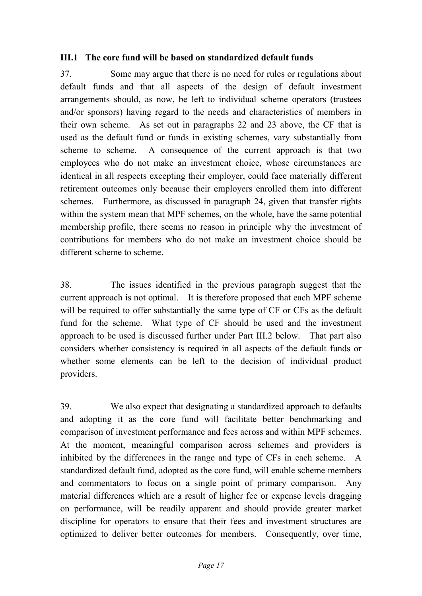#### <span id="page-18-0"></span>**III.1 The core fund will be based on standardized default funds**

37. Some may argue that there is no need for rules or regulations about default funds and that all aspects of the design of default investment arrangements should, as now, be left to individual scheme operators (trustees and/or sponsors) having regard to the needs and characteristics of members in their own scheme. As set out in paragraphs 22 and 23 above, the CF that is used as the default fund or funds in existing schemes, vary substantially from scheme to scheme. A consequence of the current approach is that two employees who do not make an investment choice, whose circumstances are identical in all respects excepting their employer, could face materially different retirement outcomes only because their employers enrolled them into different schemes. Furthermore, as discussed in paragraph 24, given that transfer rights within the system mean that MPF schemes, on the whole, have the same potential membership profile, there seems no reason in principle why the investment of contributions for members who do not make an investment choice should be different scheme to scheme.

38. The issues identified in the previous paragraph suggest that the current approach is not optimal. It is therefore proposed that each MPF scheme will be required to offer substantially the same type of CF or CFs as the default fund for the scheme. What type of CF should be used and the investment approach to be used is discussed further under Part III.2 below. That part also considers whether consistency is required in all aspects of the default funds or whether some elements can be left to the decision of individual product providers.

39. We also expect that designating a standardized approach to defaults and adopting it as the core fund will facilitate better benchmarking and comparison of investment performance and fees across and within MPF schemes. At the moment, meaningful comparison across schemes and providers is inhibited by the differences in the range and type of CFs in each scheme. A standardized default fund, adopted as the core fund, will enable scheme members and commentators to focus on a single point of primary comparison. Any material differences which are a result of higher fee or expense levels dragging on performance, will be readily apparent and should provide greater market discipline for operators to ensure that their fees and investment structures are optimized to deliver better outcomes for members. Consequently, over time,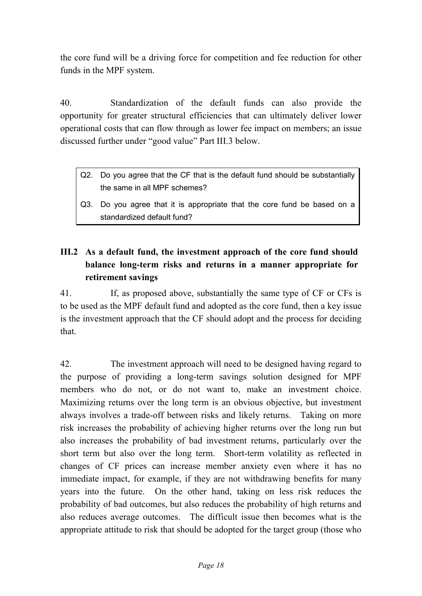the core fund will be a driving force for competition and fee reduction for other funds in the MPF system.

40. Standardization of the default funds can also provide the opportunity for greater structural efficiencies that can ultimately deliver lower operational costs that can flow through as lower fee impact on members; an issue discussed further under "good value" Part III.3 below.

- Q2. Do you agree that the CF that is the default fund should be substantially the same in all MPF schemes?
- Q3. Do you agree that it is appropriate that the core fund be based on a standardized default fund?

## <span id="page-19-0"></span>**III.2 As a default fund, the investment approach of the core fund should balance long-term risks and returns in a manner appropriate for retirement savings**

41. If, as proposed above, substantially the same type of CF or CFs is to be used as the MPF default fund and adopted as the core fund, then a key issue is the investment approach that the CF should adopt and the process for deciding that.

42. The investment approach will need to be designed having regard to the purpose of providing a long-term savings solution designed for MPF members who do not, or do not want to, make an investment choice. Maximizing returns over the long term is an obvious objective, but investment always involves a trade-off between risks and likely returns. Taking on more risk increases the probability of achieving higher returns over the long run but also increases the probability of bad investment returns, particularly over the short term but also over the long term. Short-term volatility as reflected in changes of CF prices can increase member anxiety even where it has no immediate impact, for example, if they are not withdrawing benefits for many years into the future. On the other hand, taking on less risk reduces the probability of bad outcomes, but also reduces the probability of high returns and also reduces average outcomes. The difficult issue then becomes what is the appropriate attitude to risk that should be adopted for the target group (those who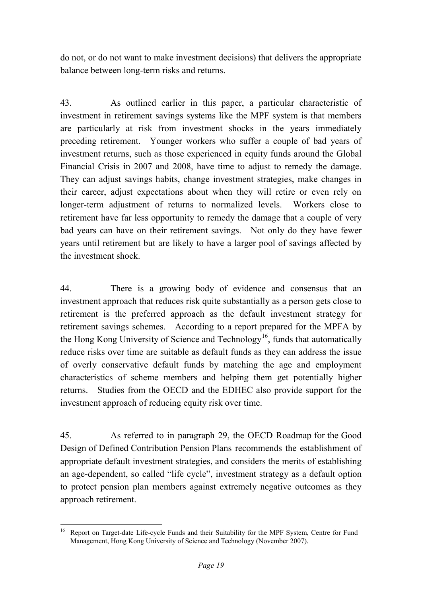do not, or do not want to make investment decisions) that delivers the appropriate balance between long-term risks and returns.

43. As outlined earlier in this paper, a particular characteristic of investment in retirement savings systems like the MPF system is that members are particularly at risk from investment shocks in the years immediately preceding retirement. Younger workers who suffer a couple of bad years of investment returns, such as those experienced in equity funds around the Global Financial Crisis in 2007 and 2008, have time to adjust to remedy the damage. They can adjust savings habits, change investment strategies, make changes in their career, adjust expectations about when they will retire or even rely on longer-term adjustment of returns to normalized levels. Workers close to retirement have far less opportunity to remedy the damage that a couple of very bad years can have on their retirement savings. Not only do they have fewer years until retirement but are likely to have a larger pool of savings affected by the investment shock.

44. There is a growing body of evidence and consensus that an investment approach that reduces risk quite substantially as a person gets close to retirement is the preferred approach as the default investment strategy for retirement savings schemes. According to a report prepared for the MPFA by the Hong Kong University of Science and Technology<sup>[16](#page-14-1)</sup>, funds that automatically reduce risks over time are suitable as default funds as they can address the issue of overly conservative default funds by matching the age and employment characteristics of scheme members and helping them get potentially higher returns. Studies from the OECD and the EDHEC also provide support for the investment approach of reducing equity risk over time.

45. As referred to in paragraph 29, the OECD Roadmap for the Good Design of Defined Contribution Pension Plans recommends the establishment of appropriate default investment strategies, and considers the merits of establishing an age-dependent, so called "life cycle", investment strategy as a default option to protect pension plan members against extremely negative outcomes as they approach retirement.

<span id="page-20-0"></span><sup>&</sup>lt;sup>16</sup> Report on Target-date Life-cycle Funds and their Suitability for the MPF System, Centre for Fund Management, Hong Kong University of Science and Technology (November 2007).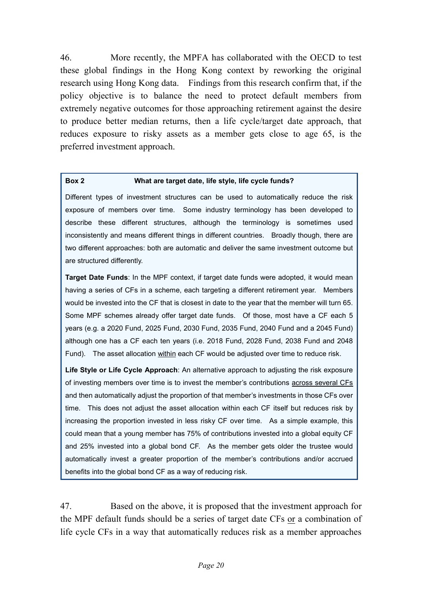46. More recently, the MPFA has collaborated with the OECD to test these global findings in the Hong Kong context by reworking the original research using Hong Kong data. Findings from this research confirm that, if the policy objective is to balance the need to protect default members from extremely negative outcomes for those approaching retirement against the desire to produce better median returns, then a life cycle/target date approach, that reduces exposure to risky assets as a member gets close to age 65, is the preferred investment approach.

#### **Box 2 What are target date, life style, life cycle funds?**

Different types of investment structures can be used to automatically reduce the risk exposure of members over time. Some industry terminology has been developed to describe these different structures, although the terminology is sometimes used inconsistently and means different things in different countries. Broadly though, there are two different approaches: both are automatic and deliver the same investment outcome but are structured differently.

**Target Date Funds**: In the MPF context, if target date funds were adopted, it would mean having a series of CFs in a scheme, each targeting a different retirement year. Members would be invested into the CF that is closest in date to the year that the member will turn 65. Some MPF schemes already offer target date funds. Of those, most have a CF each 5 years (e.g. a 2020 Fund, 2025 Fund, 2030 Fund, 2035 Fund, 2040 Fund and a 2045 Fund) although one has a CF each ten years (i.e. 2018 Fund, 2028 Fund, 2038 Fund and 2048 Fund). The asset allocation within each CF would be adjusted over time to reduce risk.

**Life Style or Life Cycle Approach**: An alternative approach to adjusting the risk exposure of investing members over time is to invest the member's contributions across several CFs and then automatically adjust the proportion of that member's investments in those CFs over time. This does not adjust the asset allocation within each CF itself but reduces risk by increasing the proportion invested in less risky CF over time. As a simple example, this could mean that a young member has 75% of contributions invested into a global equity CF and 25% invested into a global bond CF. As the member gets older the trustee would automatically invest a greater proportion of the member's contributions and/or accrued benefits into the global bond CF as a way of reducing risk.

47. Based on the above, it is proposed that the investment approach for the MPF default funds should be a series of target date CFs or a combination of life cycle CFs in a way that automatically reduces risk as a member approaches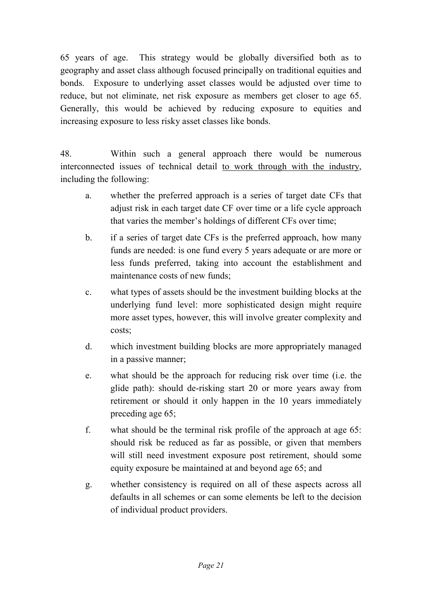65 years of age. This strategy would be globally diversified both as to geography and asset class although focused principally on traditional equities and bonds. Exposure to underlying asset classes would be adjusted over time to reduce, but not eliminate, net risk exposure as members get closer to age 65. Generally, this would be achieved by reducing exposure to equities and increasing exposure to less risky asset classes like bonds.

48. Within such a general approach there would be numerous interconnected issues of technical detail to work through with the industry, including the following:

- a. whether the preferred approach is a series of target date CFs that adjust risk in each target date CF over time or a life cycle approach that varies the member's holdings of different CFs over time;
- b. if a series of target date CFs is the preferred approach, how many funds are needed: is one fund every 5 years adequate or are more or less funds preferred, taking into account the establishment and maintenance costs of new funds;
- c. what types of assets should be the investment building blocks at the underlying fund level: more sophisticated design might require more asset types, however, this will involve greater complexity and costs;
- d. which investment building blocks are more appropriately managed in a passive manner;
- e. what should be the approach for reducing risk over time (i.e. the glide path): should de-risking start 20 or more years away from retirement or should it only happen in the 10 years immediately preceding age 65;
- f. what should be the terminal risk profile of the approach at age 65: should risk be reduced as far as possible, or given that members will still need investment exposure post retirement, should some equity exposure be maintained at and beyond age 65; and
- g. whether consistency is required on all of these aspects across all defaults in all schemes or can some elements be left to the decision of individual product providers.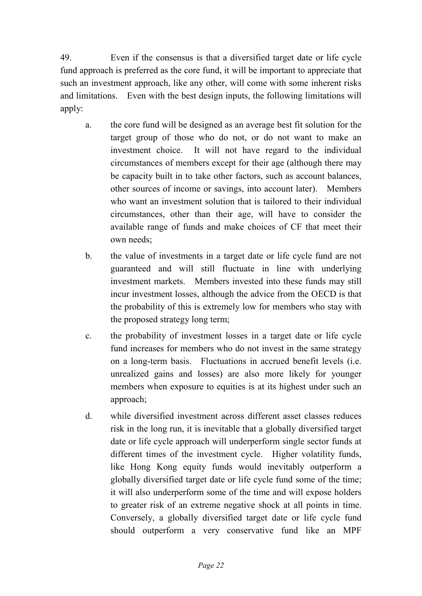49. Even if the consensus is that a diversified target date or life cycle fund approach is preferred as the core fund, it will be important to appreciate that such an investment approach, like any other, will come with some inherent risks and limitations. Even with the best design inputs, the following limitations will apply:

- a. the core fund will be designed as an average best fit solution for the target group of those who do not, or do not want to make an investment choice. It will not have regard to the individual circumstances of members except for their age (although there may be capacity built in to take other factors, such as account balances, other sources of income or savings, into account later). Members who want an investment solution that is tailored to their individual circumstances, other than their age, will have to consider the available range of funds and make choices of CF that meet their own needs;
- b. the value of investments in a target date or life cycle fund are not guaranteed and will still fluctuate in line with underlying investment markets. Members invested into these funds may still incur investment losses, although the advice from the OECD is that the probability of this is extremely low for members who stay with the proposed strategy long term;
- c. the probability of investment losses in a target date or life cycle fund increases for members who do not invest in the same strategy on a long-term basis. Fluctuations in accrued benefit levels (i.e. unrealized gains and losses) are also more likely for younger members when exposure to equities is at its highest under such an approach;
- d. while diversified investment across different asset classes reduces risk in the long run, it is inevitable that a globally diversified target date or life cycle approach will underperform single sector funds at different times of the investment cycle. Higher volatility funds, like Hong Kong equity funds would inevitably outperform a globally diversified target date or life cycle fund some of the time; it will also underperform some of the time and will expose holders to greater risk of an extreme negative shock at all points in time. Conversely, a globally diversified target date or life cycle fund should outperform a very conservative fund like an MPF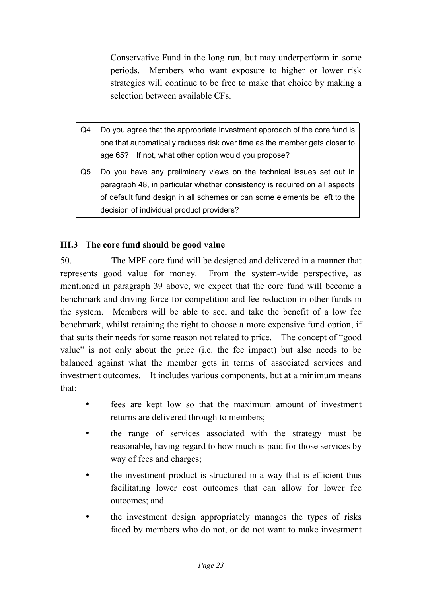Conservative Fund in the long run, but may underperform in some periods. Members who want exposure to higher or lower risk strategies will continue to be free to make that choice by making a selection between available CFs.

- Q4. Do you agree that the appropriate investment approach of the core fund is one that automatically reduces risk over time as the member gets closer to age 65? If not, what other option would you propose?
- Q5. Do you have any preliminary views on the technical issues set out in paragraph 48, in particular whether consistency is required on all aspects of default fund design in all schemes or can some elements be left to the decision of individual product providers?

### <span id="page-24-0"></span>**III.3 The core fund should be good value**

50. The MPF core fund will be designed and delivered in a manner that represents good value for money. From the system-wide perspective, as mentioned in paragraph 39 above, we expect that the core fund will become a benchmark and driving force for competition and fee reduction in other funds in the system. Members will be able to see, and take the benefit of a low fee benchmark, whilst retaining the right to choose a more expensive fund option, if that suits their needs for some reason not related to price. The concept of "good value" is not only about the price (i.e. the fee impact) but also needs to be balanced against what the member gets in terms of associated services and investment outcomes. It includes various components, but at a minimum means that:

- fees are kept low so that the maximum amount of investment returns are delivered through to members;
- the range of services associated with the strategy must be reasonable, having regard to how much is paid for those services by way of fees and charges;
- the investment product is structured in a way that is efficient thus facilitating lower cost outcomes that can allow for lower fee outcomes; and
- the investment design appropriately manages the types of risks faced by members who do not, or do not want to make investment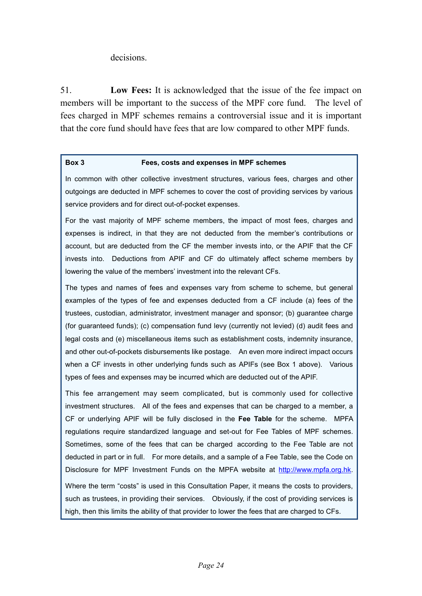#### decisions.

51. **Low Fees:** It is acknowledged that the issue of the fee impact on members will be important to the success of the MPF core fund. The level of fees charged in MPF schemes remains a controversial issue and it is important that the core fund should have fees that are low compared to other MPF funds.

#### **Box 3 Fees, costs and expenses in MPF schemes**

In common with other collective investment structures, various fees, charges and other outgoings are deducted in MPF schemes to cover the cost of providing services by various service providers and for direct out-of-pocket expenses.

For the vast majority of MPF scheme members, the impact of most fees, charges and expenses is indirect, in that they are not deducted from the member's contributions or account, but are deducted from the CF the member invests into, or the APIF that the CF invests into. Deductions from APIF and CF do ultimately affect scheme members by lowering the value of the members' investment into the relevant CFs.

The types and names of fees and expenses vary from scheme to scheme, but general examples of the types of fee and expenses deducted from a CF include (a) fees of the trustees, custodian, administrator, investment manager and sponsor; (b) guarantee charge (for guaranteed funds); (c) compensation fund levy (currently not levied) (d) audit fees and legal costs and (e) miscellaneous items such as establishment costs, indemnity insurance, and other out-of-pockets disbursements like postage. An even more indirect impact occurs when a CF invests in other underlying funds such as APIFs (see Box 1 above). Various types of fees and expenses may be incurred which are deducted out of the APIF.

This fee arrangement may seem complicated, but is commonly used for collective investment structures. All of the fees and expenses that can be charged to a member, a CF or underlying APIF will be fully disclosed in the **Fee Table** for the scheme. MPFA regulations require standardized language and set-out for Fee Tables of MPF schemes. Sometimes, some of the fees that can be charged according to the Fee Table are not deducted in part or in full. For more details, and a sample of a Fee Table, see the Code on Disclosure for MPF Investment Funds on the MPFA website at [http://www.mpfa.org.hk.](http://www.mpfa.org.hk/) Where the term "costs" is used in this Consultation Paper, it means the costs to providers, such as trustees, in providing their services. Obviously, if the cost of providing services is high, then this limits the ability of that provider to lower the fees that are charged to CFs.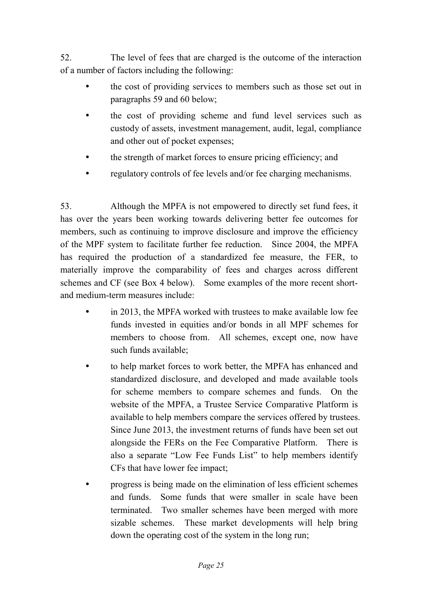52. The level of fees that are charged is the outcome of the interaction of a number of factors including the following:

- the cost of providing services to members such as those set out in paragraphs 59 and 60 below;
- the cost of providing scheme and fund level services such as custody of assets, investment management, audit, legal, compliance and other out of pocket expenses;
- the strength of market forces to ensure pricing efficiency; and
- regulatory controls of fee levels and/or fee charging mechanisms.

53. Although the MPFA is not empowered to directly set fund fees, it has over the years been working towards delivering better fee outcomes for members, such as continuing to improve disclosure and improve the efficiency of the MPF system to facilitate further fee reduction. Since 2004, the MPFA has required the production of a standardized fee measure, the FER, to materially improve the comparability of fees and charges across different schemes and CF (see Box 4 below). Some examples of the more recent shortand medium-term measures include:

- in 2013, the MPFA worked with trustees to make available low fee funds invested in equities and/or bonds in all MPF schemes for members to choose from. All schemes, except one, now have such funds available;
- to help market forces to work better, the MPFA has enhanced and standardized disclosure, and developed and made available tools for scheme members to compare schemes and funds. On the website of the MPFA, a Trustee Service Comparative Platform is available to help members compare the services offered by trustees. Since June 2013, the investment returns of funds have been set out alongside the FERs on the Fee Comparative Platform. There is also a separate "Low Fee Funds List" to help members identify CFs that have lower fee impact;
- progress is being made on the elimination of less efficient schemes and funds. Some funds that were smaller in scale have been terminated. Two smaller schemes have been merged with more sizable schemes. These market developments will help bring down the operating cost of the system in the long run;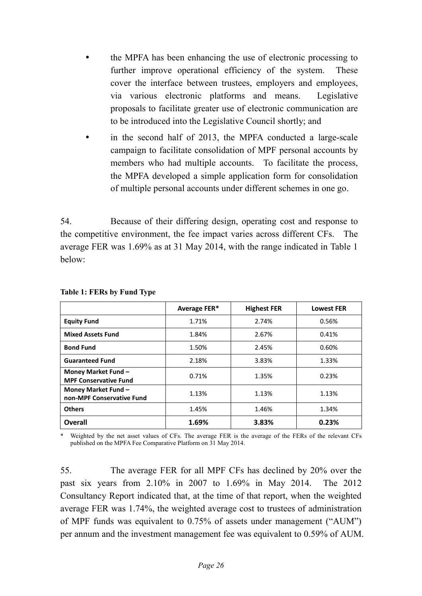- the MPFA has been enhancing the use of electronic processing to further improve operational efficiency of the system. These cover the interface between trustees, employers and employees, via various electronic platforms and means. Legislative proposals to facilitate greater use of electronic communication are to be introduced into the Legislative Council shortly; and
- in the second half of 2013, the MPFA conducted a large-scale campaign to facilitate consolidation of MPF personal accounts by members who had multiple accounts. To facilitate the process, the MPFA developed a simple application form for consolidation of multiple personal accounts under different schemes in one go.

54. Because of their differing design, operating cost and response to the competitive environment, the fee impact varies across different CFs. The average FER was 1.69% as at 31 May 2014, with the range indicated in Table 1 below:

|                                                     | Average FER* | <b>Highest FER</b> | <b>Lowest FER</b> |
|-----------------------------------------------------|--------------|--------------------|-------------------|
| <b>Equity Fund</b>                                  | 1.71%        | 2.74%              | 0.56%             |
| <b>Mixed Assets Fund</b>                            | 1.84%        | 2.67%              | 0.41%             |
| <b>Bond Fund</b>                                    | 1.50%        | 2.45%              | 0.60%             |
| <b>Guaranteed Fund</b>                              | 2.18%        | 3.83%              | 1.33%             |
| Money Market Fund -<br><b>MPF Conservative Fund</b> | 0.71%        | 1.35%              | 0.23%             |
| Money Market Fund -<br>non-MPF Conservative Fund    | 1.13%        | 1.13%              | 1.13%             |
| <b>Others</b>                                       | 1.45%        | 1.46%              | 1.34%             |
| <b>Overall</b>                                      | 1.69%        | 3.83%              | 0.23%             |

#### **Table 1: FERs by Fund Type**

Weighted by the net asset values of CFs. The average FER is the average of the FERs of the relevant CFs published on the MPFA Fee Comparative Platform on 31 May 2014.

55. The average FER for all MPF CFs has declined by 20% over the past six years from 2.10% in 2007 to 1.69% in May 2014. The 2012 Consultancy Report indicated that, at the time of that report, when the weighted average FER was 1.74%, the weighted average cost to trustees of administration of MPF funds was equivalent to 0.75% of assets under management ("AUM") per annum and the investment management fee was equivalent to 0.59% of AUM.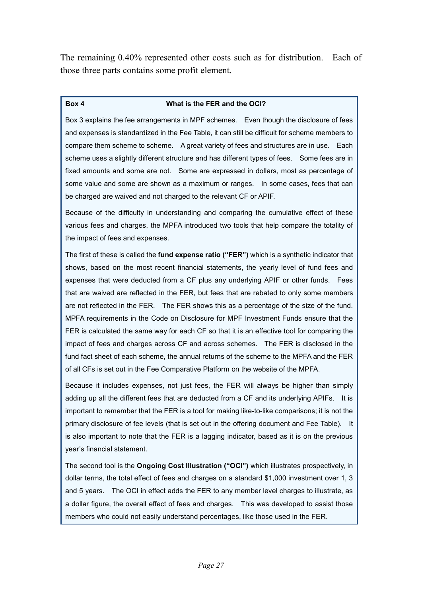The remaining 0.40% represented other costs such as for distribution. Each of those three parts contains some profit element.

#### **Box 4 What is the FER and the OCI?**

Box 3 explains the fee arrangements in MPF schemes. Even though the disclosure of fees and expenses is standardized in the Fee Table, it can still be difficult for scheme members to compare them scheme to scheme. A great variety of fees and structures are in use. Each scheme uses a slightly different structure and has different types of fees. Some fees are in fixed amounts and some are not. Some are expressed in dollars, most as percentage of some value and some are shown as a maximum or ranges. In some cases, fees that can be charged are waived and not charged to the relevant CF or APIF.

Because of the difficulty in understanding and comparing the cumulative effect of these various fees and charges, the MPFA introduced two tools that help compare the totality of the impact of fees and expenses.

The first of these is called the **fund expense ratio ("FER")** which is a synthetic indicator that shows, based on the most recent financial statements, the yearly level of fund fees and expenses that were deducted from a CF plus any underlying APIF or other funds. Fees that are waived are reflected in the FER, but fees that are rebated to only some members are not reflected in the FER. The FER shows this as a percentage of the size of the fund. MPFA requirements in the Code on Disclosure for MPF Investment Funds ensure that the FER is calculated the same way for each CF so that it is an effective tool for comparing the impact of fees and charges across CF and across schemes. The FER is disclosed in the fund fact sheet of each scheme, the annual returns of the scheme to the MPFA and the FER of all CFs is set out in the Fee Comparative Platform on the website of the MPFA.

Because it includes expenses, not just fees, the FER will always be higher than simply adding up all the different fees that are deducted from a CF and its underlying APIFs. It is important to remember that the FER is a tool for making like-to-like comparisons; it is not the primary disclosure of fee levels (that is set out in the offering document and Fee Table). It is also important to note that the FER is a lagging indicator, based as it is on the previous year's financial statement.

The second tool is the **Ongoing Cost Illustration ("OCI")** which illustrates prospectively, in dollar terms, the total effect of fees and charges on a standard \$1,000 investment over 1, 3 and 5 years. The OCI in effect adds the FER to any member level charges to illustrate, as a dollar figure, the overall effect of fees and charges. This was developed to assist those members who could not easily understand percentages, like those used in the FER.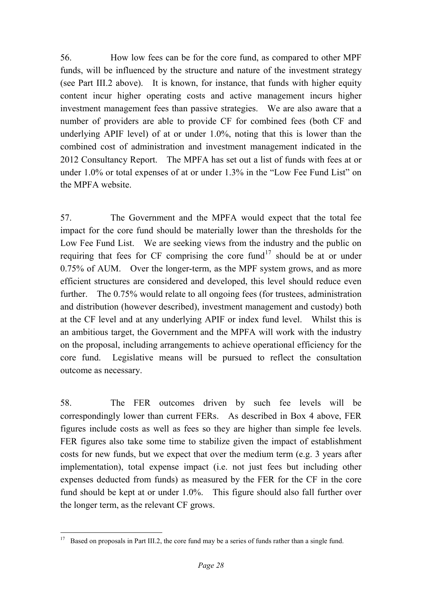56. How low fees can be for the core fund, as compared to other MPF funds, will be influenced by the structure and nature of the investment strategy (see Part III.2 above). It is known, for instance, that funds with higher equity content incur higher operating costs and active management incurs higher investment management fees than passive strategies. We are also aware that a number of providers are able to provide CF for combined fees (both CF and underlying APIF level) of at or under 1.0%, noting that this is lower than the combined cost of administration and investment management indicated in the 2012 Consultancy Report. The MPFA has set out a list of funds with fees at or under 1.0% or total expenses of at or under 1.3% in the "Low Fee Fund List" on the MPFA website.

57. The Government and the MPFA would expect that the total fee impact for the core fund should be materially lower than the thresholds for the Low Fee Fund List. We are seeking views from the industry and the public on requiring that fees for CF comprising the core fund<sup>[17](#page-20-0)</sup> should be at or under 0.75% of AUM. Over the longer-term, as the MPF system grows, and as more efficient structures are considered and developed, this level should reduce even further. The 0.75% would relate to all ongoing fees (for trustees, administration and distribution (however described), investment management and custody) both at the CF level and at any underlying APIF or index fund level. Whilst this is an ambitious target, the Government and the MPFA will work with the industry on the proposal, including arrangements to achieve operational efficiency for the core fund. Legislative means will be pursued to reflect the consultation outcome as necessary.

58. The FER outcomes driven by such fee levels will be correspondingly lower than current FERs. As described in Box 4 above, FER figures include costs as well as fees so they are higher than simple fee levels. FER figures also take some time to stabilize given the impact of establishment costs for new funds, but we expect that over the medium term (e.g. 3 years after implementation), total expense impact (i.e. not just fees but including other expenses deducted from funds) as measured by the FER for the CF in the core fund should be kept at or under 1.0%. This figure should also fall further over the longer term, as the relevant CF grows.

<span id="page-29-0"></span><sup>&</sup>lt;sup>17</sup> Based on proposals in Part III.2, the core fund may be a series of funds rather than a single fund.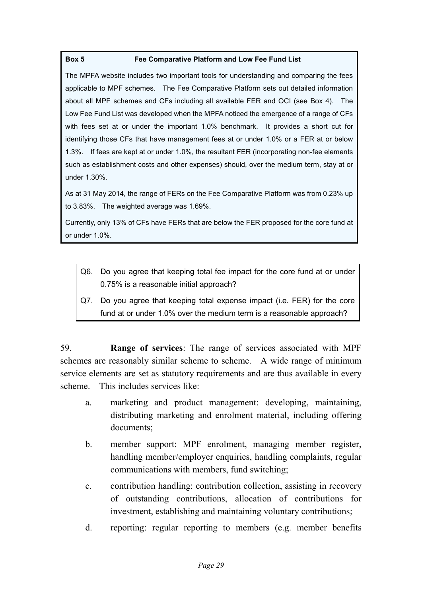#### **Box 5 Fee Comparative Platform and Low Fee Fund List**

The MPFA website includes two important tools for understanding and comparing the fees applicable to MPF schemes. The Fee Comparative Platform sets out detailed information about all MPF schemes and CFs including all available FER and OCI (see Box 4). The Low Fee Fund List was developed when the MPFA noticed the emergence of a range of CFs with fees set at or under the important 1.0% benchmark. It provides a short cut for identifying those CFs that have management fees at or under 1.0% or a FER at or below 1.3%. If fees are kept at or under 1.0%, the resultant FER (incorporating non-fee elements such as establishment costs and other expenses) should, over the medium term, stay at or under 1.30%.

As at 31 May 2014, the range of FERs on the Fee Comparative Platform was from 0.23% up to 3.83%. The weighted average was 1.69%.

Currently, only 13% of CFs have FERs that are below the FER proposed for the core fund at or under 1.0%.

- Q6. Do you agree that keeping total fee impact for the core fund at or under 0.75% is a reasonable initial approach?
- Q7. Do you agree that keeping total expense impact (i.e. FER) for the core fund at or under 1.0% over the medium term is a reasonable approach?

59. **Range of services**: The range of services associated with MPF schemes are reasonably similar scheme to scheme. A wide range of minimum service elements are set as statutory requirements and are thus available in every scheme. This includes services like:

- a. marketing and product management: developing, maintaining, distributing marketing and enrolment material, including offering documents;
- b. member support: MPF enrolment, managing member register, handling member/employer enquiries, handling complaints, regular communications with members, fund switching;
- c. contribution handling: contribution collection, assisting in recovery of outstanding contributions, allocation of contributions for investment, establishing and maintaining voluntary contributions;
- d. reporting: regular reporting to members (e.g. member benefits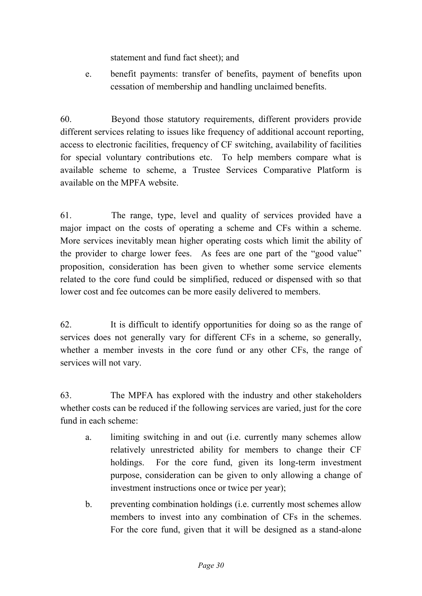statement and fund fact sheet); and

e. benefit payments: transfer of benefits, payment of benefits upon cessation of membership and handling unclaimed benefits.

60. Beyond those statutory requirements, different providers provide different services relating to issues like frequency of additional account reporting, access to electronic facilities, frequency of CF switching, availability of facilities for special voluntary contributions etc. To help members compare what is available scheme to scheme, a Trustee Services Comparative Platform is available on the MPFA website.

61. The range, type, level and quality of services provided have a major impact on the costs of operating a scheme and CFs within a scheme. More services inevitably mean higher operating costs which limit the ability of the provider to charge lower fees. As fees are one part of the "good value" proposition, consideration has been given to whether some service elements related to the core fund could be simplified, reduced or dispensed with so that lower cost and fee outcomes can be more easily delivered to members.

62. It is difficult to identify opportunities for doing so as the range of services does not generally vary for different CFs in a scheme, so generally, whether a member invests in the core fund or any other CFs, the range of services will not vary.

63. The MPFA has explored with the industry and other stakeholders whether costs can be reduced if the following services are varied, just for the core fund in each scheme:

- a. limiting switching in and out (i.e. currently many schemes allow relatively unrestricted ability for members to change their CF holdings. For the core fund, given its long-term investment purpose, consideration can be given to only allowing a change of investment instructions once or twice per year);
- b. preventing combination holdings (i.e. currently most schemes allow members to invest into any combination of CFs in the schemes. For the core fund, given that it will be designed as a stand-alone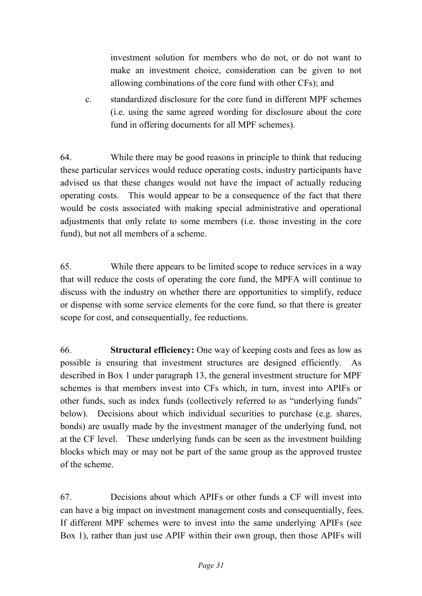investment solution for members who do not, or do not want to make an investment choice, consideration can be given to not allowing combinations of the core fund with other CFs); and

c. standardized disclosure for the core fund in different MPF schemes (i.e. using the same agreed wording for disclosure about the core fund in offering documents for all MPF schemes).

64. While there may be good reasons in principle to think that reducing these particular services would reduce operating costs, industry participants have advised us that these changes would not have the impact of actually reducing operating costs. This would appear to be a consequence of the fact that there would be costs associated with making special administrative and operational adjustments that only relate to some members (i.e. those investing in the core fund), but not all members of a scheme.

65. While there appears to be limited scope to reduce services in a way that will reduce the costs of operating the core fund, the MPFA will continue to discuss with the industry on whether there are opportunities to simplify, reduce or dispense with some service elements for the core fund, so that there is greater scope for cost, and consequentially, fee reductions.

66. **Structural efficiency:** One way of keeping costs and fees as low as possible is ensuring that investment structures are designed efficiently. As described in Box 1 under paragraph 13, the general investment structure for MPF schemes is that members invest into CFs which, in turn, invest into APIFs or other funds, such as index funds (collectively referred to as "underlying funds" below). Decisions about which individual securities to purchase (e.g. shares, bonds) are usually made by the investment manager of the underlying fund, not at the CF level. These underlying funds can be seen as the investment building blocks which may or may not be part of the same group as the approved trustee of the scheme.

67. Decisions about which APIFs or other funds a CF will invest into can have a big impact on investment management costs and consequentially, fees. If different MPF schemes were to invest into the same underlying APIFs (see Box 1), rather than just use APIF within their own group, then those APIFs will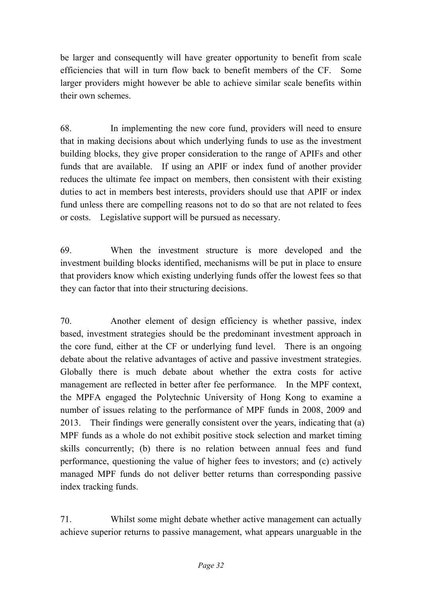be larger and consequently will have greater opportunity to benefit from scale efficiencies that will in turn flow back to benefit members of the CF. Some larger providers might however be able to achieve similar scale benefits within their own schemes.

68. In implementing the new core fund, providers will need to ensure that in making decisions about which underlying funds to use as the investment building blocks, they give proper consideration to the range of APIFs and other funds that are available. If using an APIF or index fund of another provider reduces the ultimate fee impact on members, then consistent with their existing duties to act in members best interests, providers should use that APIF or index fund unless there are compelling reasons not to do so that are not related to fees or costs. Legislative support will be pursued as necessary.

69. When the investment structure is more developed and the investment building blocks identified, mechanisms will be put in place to ensure that providers know which existing underlying funds offer the lowest fees so that they can factor that into their structuring decisions.

70. Another element of design efficiency is whether passive, index based, investment strategies should be the predominant investment approach in the core fund, either at the CF or underlying fund level. There is an ongoing debate about the relative advantages of active and passive investment strategies. Globally there is much debate about whether the extra costs for active management are reflected in better after fee performance. In the MPF context, the MPFA engaged the Polytechnic University of Hong Kong to examine a number of issues relating to the performance of MPF funds in 2008, 2009 and 2013. Their findings were generally consistent over the years, indicating that (a) MPF funds as a whole do not exhibit positive stock selection and market timing skills concurrently; (b) there is no relation between annual fees and fund performance, questioning the value of higher fees to investors; and (c) actively managed MPF funds do not deliver better returns than corresponding passive index tracking funds.

71. Whilst some might debate whether active management can actually achieve superior returns to passive management, what appears unarguable in the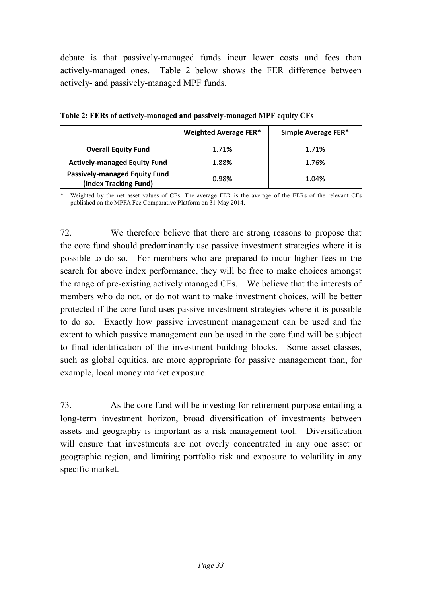debate is that passively-managed funds incur lower costs and fees than actively-managed ones. Table 2 below shows the FER difference between actively- and passively-managed MPF funds.

|                                                               | <b>Weighted Average FER*</b> | Simple Average FER* |
|---------------------------------------------------------------|------------------------------|---------------------|
| <b>Overall Equity Fund</b>                                    | 1.71%                        | 1.71%               |
| <b>Actively-managed Equity Fund</b>                           | 1.88%                        | 1.76%               |
| <b>Passively-managed Equity Fund</b><br>(Index Tracking Fund) | 0.98%                        | 1.04%               |

**Table 2: FERs of actively-managed and passively-managed MPF equity CFs** 

Weighted by the net asset values of CFs. The average FER is the average of the FERs of the relevant CFs published on the MPFA Fee Comparative Platform on 31 May 2014.

72. We therefore believe that there are strong reasons to propose that the core fund should predominantly use passive investment strategies where it is possible to do so. For members who are prepared to incur higher fees in the search for above index performance, they will be free to make choices amongst the range of pre-existing actively managed CFs. We believe that the interests of members who do not, or do not want to make investment choices, will be better protected if the core fund uses passive investment strategies where it is possible to do so. Exactly how passive investment management can be used and the extent to which passive management can be used in the core fund will be subject to final identification of the investment building blocks. Some asset classes, such as global equities, are more appropriate for passive management than, for example, local money market exposure.

73. As the core fund will be investing for retirement purpose entailing a long-term investment horizon, broad diversification of investments between assets and geography is important as a risk management tool. Diversification will ensure that investments are not overly concentrated in any one asset or geographic region, and limiting portfolio risk and exposure to volatility in any specific market.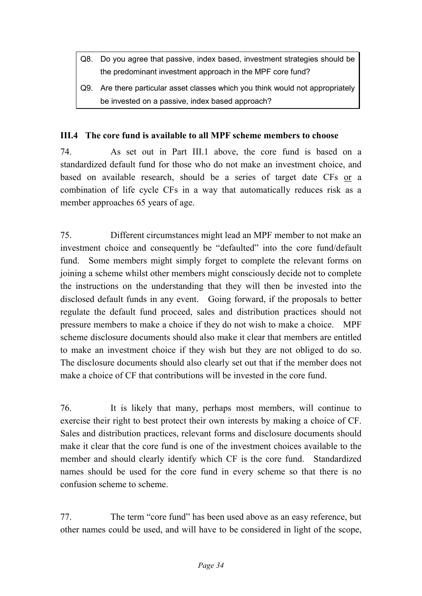- Q8. Do you agree that passive, index based, investment strategies should be the predominant investment approach in the MPF core fund?
- Q9. Are there particular asset classes which you think would not appropriately be invested on a passive, index based approach?

#### <span id="page-35-0"></span>**III.4 The core fund is available to all MPF scheme members to choose**

74. As set out in Part III.1 above, the core fund is based on a standardized default fund for those who do not make an investment choice, and based on available research, should be a series of target date CFs or a combination of life cycle CFs in a way that automatically reduces risk as a member approaches 65 years of age.

75. Different circumstances might lead an MPF member to not make an investment choice and consequently be "defaulted" into the core fund/default fund. Some members might simply forget to complete the relevant forms on joining a scheme whilst other members might consciously decide not to complete the instructions on the understanding that they will then be invested into the disclosed default funds in any event. Going forward, if the proposals to better regulate the default fund proceed, sales and distribution practices should not pressure members to make a choice if they do not wish to make a choice. MPF scheme disclosure documents should also make it clear that members are entitled to make an investment choice if they wish but they are not obliged to do so. The disclosure documents should also clearly set out that if the member does not make a choice of CF that contributions will be invested in the core fund.

76. It is likely that many, perhaps most members, will continue to exercise their right to best protect their own interests by making a choice of CF. Sales and distribution practices, relevant forms and disclosure documents should make it clear that the core fund is one of the investment choices available to the member and should clearly identify which CF is the core fund. Standardized names should be used for the core fund in every scheme so that there is no confusion scheme to scheme.

77. The term "core fund" has been used above as an easy reference, but other names could be used, and will have to be considered in light of the scope,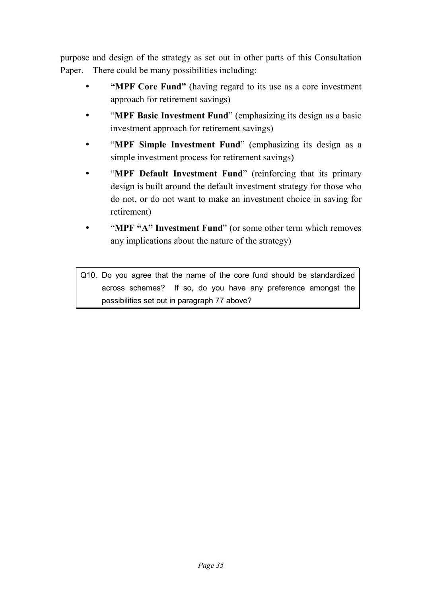purpose and design of the strategy as set out in other parts of this Consultation Paper. There could be many possibilities including:

- **"MPF Core Fund"** (having regard to its use as a core investment approach for retirement savings)
- "**MPF Basic Investment Fund**" (emphasizing its design as a basic investment approach for retirement savings)
- "**MPF Simple Investment Fund**" (emphasizing its design as a simple investment process for retirement savings)
- "**MPF Default Investment Fund**" (reinforcing that its primary design is built around the default investment strategy for those who do not, or do not want to make an investment choice in saving for retirement)
- "**MPF "A" Investment Fund**" (or some other term which removes any implications about the nature of the strategy)

Q10. Do you agree that the name of the core fund should be standardized across schemes? If so, do you have any preference amongst the possibilities set out in paragraph 77 above?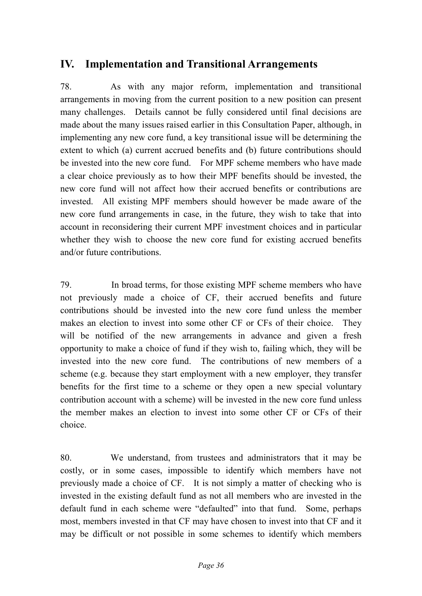# <span id="page-37-0"></span>**IV. Implementation and Transitional Arrangements**

78. As with any major reform, implementation and transitional arrangements in moving from the current position to a new position can present many challenges. Details cannot be fully considered until final decisions are made about the many issues raised earlier in this Consultation Paper, although, in implementing any new core fund, a key transitional issue will be determining the extent to which (a) current accrued benefits and (b) future contributions should be invested into the new core fund. For MPF scheme members who have made a clear choice previously as to how their MPF benefits should be invested, the new core fund will not affect how their accrued benefits or contributions are invested. All existing MPF members should however be made aware of the new core fund arrangements in case, in the future, they wish to take that into account in reconsidering their current MPF investment choices and in particular whether they wish to choose the new core fund for existing accrued benefits and/or future contributions.

79. In broad terms, for those existing MPF scheme members who have not previously made a choice of CF, their accrued benefits and future contributions should be invested into the new core fund unless the member makes an election to invest into some other CF or CFs of their choice. They will be notified of the new arrangements in advance and given a fresh opportunity to make a choice of fund if they wish to, failing which, they will be invested into the new core fund. The contributions of new members of a scheme (e.g. because they start employment with a new employer, they transfer benefits for the first time to a scheme or they open a new special voluntary contribution account with a scheme) will be invested in the new core fund unless the member makes an election to invest into some other CF or CFs of their choice.

80. We understand, from trustees and administrators that it may be costly, or in some cases, impossible to identify which members have not previously made a choice of CF. It is not simply a matter of checking who is invested in the existing default fund as not all members who are invested in the default fund in each scheme were "defaulted" into that fund. Some, perhaps most, members invested in that CF may have chosen to invest into that CF and it may be difficult or not possible in some schemes to identify which members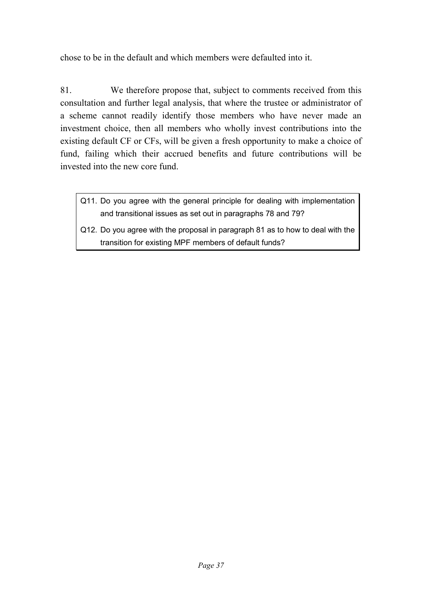chose to be in the default and which members were defaulted into it.

81. We therefore propose that, subject to comments received from this consultation and further legal analysis, that where the trustee or administrator of a scheme cannot readily identify those members who have never made an investment choice, then all members who wholly invest contributions into the existing default CF or CFs, will be given a fresh opportunity to make a choice of fund, failing which their accrued benefits and future contributions will be invested into the new core fund.

- Q11. Do you agree with the general principle for dealing with implementation and transitional issues as set out in paragraphs 78 and 79?
- Q12. Do you agree with the proposal in paragraph 81 as to how to deal with the transition for existing MPF members of default funds?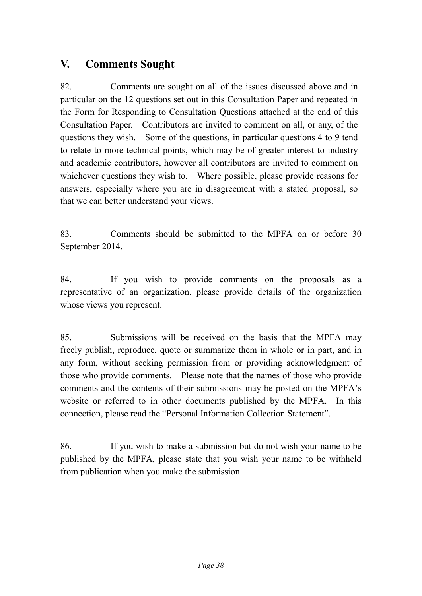# <span id="page-39-0"></span>**V. Comments Sought**

82. Comments are sought on all of the issues discussed above and in particular on the 12 questions set out in this Consultation Paper and repeated in the Form for Responding to Consultation Questions attached at the end of this Consultation Paper. Contributors are invited to comment on all, or any, of the questions they wish. Some of the questions, in particular questions 4 to 9 tend to relate to more technical points, which may be of greater interest to industry and academic contributors, however all contributors are invited to comment on whichever questions they wish to. Where possible, please provide reasons for answers, especially where you are in disagreement with a stated proposal, so that we can better understand your views.

83. Comments should be submitted to the MPFA on or before 30 September 2014.

84. If you wish to provide comments on the proposals as a representative of an organization, please provide details of the organization whose views you represent.

85. Submissions will be received on the basis that the MPFA may freely publish, reproduce, quote or summarize them in whole or in part, and in any form, without seeking permission from or providing acknowledgment of those who provide comments. Please note that the names of those who provide comments and the contents of their submissions may be posted on the MPFA's website or referred to in other documents published by the MPFA. In this connection, please read the "Personal Information Collection Statement".

86. If you wish to make a submission but do not wish your name to be published by the MPFA, please state that you wish your name to be withheld from publication when you make the submission.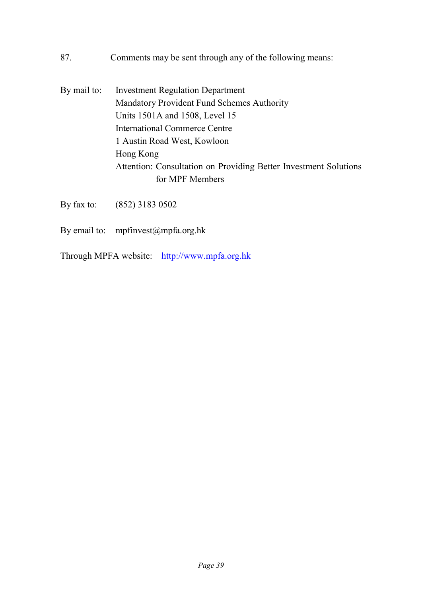- 87. Comments may be sent through any of the following means:
- By mail to: Investment Regulation Department Mandatory Provident Fund Schemes Authority Units 1501A and 1508, Level 15 International Commerce Centre 1 Austin Road West, Kowloon Hong Kong Attention: Consultation on Providing Better Investment Solutions for MPF Members
- By fax to: (852) 3183 0502
- By email to: mpfinvest@mpfa.org.hk
- Through MPFA website: [http://www.mpfa.org.hk](http://www.mpfa.org.hk/)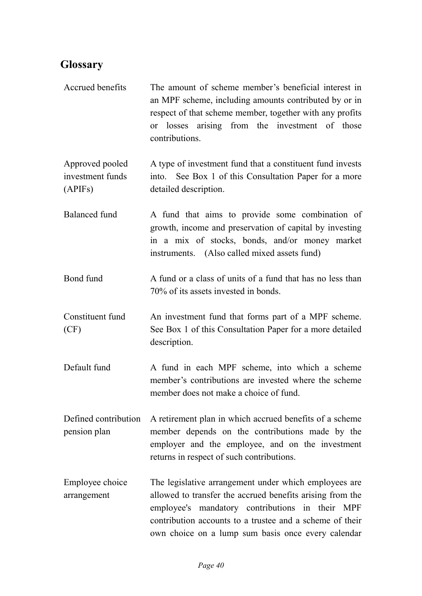# <span id="page-41-0"></span>**Glossary**

| Accrued benefits                               | The amount of scheme member's beneficial interest in<br>an MPF scheme, including amounts contributed by or in<br>respect of that scheme member, together with any profits<br>or losses arising from the investment of those<br>contributions.                                           |
|------------------------------------------------|-----------------------------------------------------------------------------------------------------------------------------------------------------------------------------------------------------------------------------------------------------------------------------------------|
| Approved pooled<br>investment funds<br>(APIFs) | A type of investment fund that a constituent fund invests<br>into. See Box 1 of this Consultation Paper for a more<br>detailed description.                                                                                                                                             |
| <b>Balanced</b> fund                           | A fund that aims to provide some combination of<br>growth, income and preservation of capital by investing<br>in a mix of stocks, bonds, and/or money market<br>instruments. (Also called mixed assets fund)                                                                            |
| Bond fund                                      | A fund or a class of units of a fund that has no less than<br>70% of its assets invested in bonds.                                                                                                                                                                                      |
| Constituent fund<br>(CF)                       | An investment fund that forms part of a MPF scheme.<br>See Box 1 of this Consultation Paper for a more detailed<br>description.                                                                                                                                                         |
| Default fund                                   | A fund in each MPF scheme, into which a scheme<br>member's contributions are invested where the scheme<br>member does not make a choice of fund.                                                                                                                                        |
| Defined contribution<br>pension plan           | A retirement plan in which accrued benefits of a scheme<br>member depends on the contributions made by the<br>employer and the employee, and on the investment<br>returns in respect of such contributions.                                                                             |
| Employee choice<br>arrangement                 | The legislative arrangement under which employees are<br>allowed to transfer the accrued benefits arising from the<br>employee's mandatory contributions in their MPF<br>contribution accounts to a trustee and a scheme of their<br>own choice on a lump sum basis once every calendar |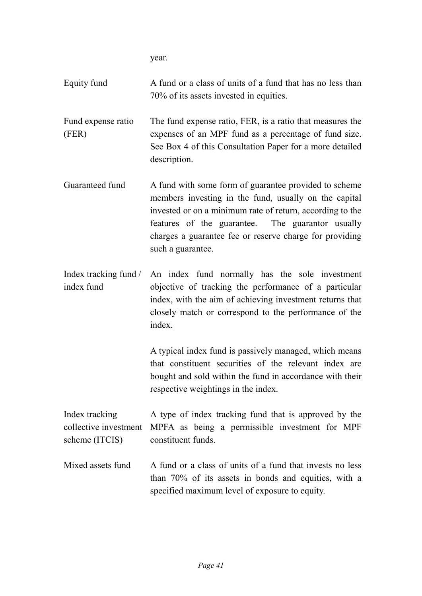year.

| Equity fund                                               | A fund or a class of units of a fund that has no less than<br>70% of its assets invested in equities.                                                                                                                                                                                                           |
|-----------------------------------------------------------|-----------------------------------------------------------------------------------------------------------------------------------------------------------------------------------------------------------------------------------------------------------------------------------------------------------------|
| Fund expense ratio<br>(FER)                               | The fund expense ratio, FER, is a ratio that measures the<br>expenses of an MPF fund as a percentage of fund size.<br>See Box 4 of this Consultation Paper for a more detailed<br>description.                                                                                                                  |
| Guaranteed fund                                           | A fund with some form of guarantee provided to scheme<br>members investing in the fund, usually on the capital<br>invested or on a minimum rate of return, according to the<br>features of the guarantee. The guarantor usually<br>charges a guarantee fee or reserve charge for providing<br>such a guarantee. |
| Index tracking fund /<br>index fund                       | An index fund normally has the sole investment<br>objective of tracking the performance of a particular<br>index, with the aim of achieving investment returns that<br>closely match or correspond to the performance of the<br>index.                                                                          |
|                                                           | A typical index fund is passively managed, which means<br>that constituent securities of the relevant index are<br>bought and sold within the fund in accordance with their<br>respective weightings in the index.                                                                                              |
| Index tracking<br>collective investment<br>scheme (ITCIS) | A type of index tracking fund that is approved by the<br>MPFA as being a permissible investment for MPF<br>constituent funds.                                                                                                                                                                                   |
| Mixed assets fund                                         | A fund or a class of units of a fund that invests no less<br>than 70% of its assets in bonds and equities, with a<br>specified maximum level of exposure to equity.                                                                                                                                             |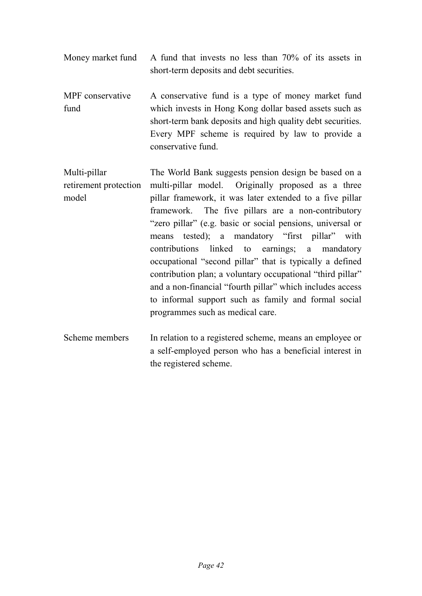- Money market fund A fund that invests no less than 70% of its assets in short-term deposits and debt securities.
- MPF conservative fund A conservative fund is a type of money market fund which invests in Hong Kong dollar based assets such as short-term bank deposits and high quality debt securities. Every MPF scheme is required by law to provide a conservative fund.
- Multi-pillar retirement protection model The World Bank suggests pension design be based on a multi-pillar model. Originally proposed as a three pillar framework, it was later extended to a five pillar framework. The five pillars are a non-contributory "zero pillar" (e.g. basic or social pensions, universal or means tested); a mandatory "first pillar" with contributions linked to earnings; a mandatory occupational "second pillar" that is typically a defined contribution plan; a voluntary occupational "third pillar" and a non-financial "fourth pillar" which includes access to informal support such as family and formal social programmes such as medical care.
- Scheme members In relation to a registered scheme, means an employee or a self-employed person who has a beneficial interest in the registered scheme.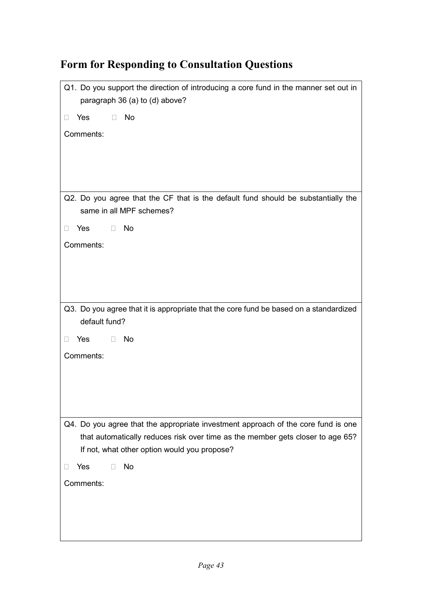# Q1. Do you support the direction of introducing a core fund in the manner set out in paragraph 36 (a) to (d) above?  $\Box$  Yes  $\Box$  No Comments: Q2. Do you agree that the CF that is the default fund should be substantially the same in all MPF schemes? Yes No Comments: Q3. Do you agree that it is appropriate that the core fund be based on a standardized default fund?  $\Box$  Yes  $\Box$  No Comments: Q4. Do you agree that the appropriate investment approach of the core fund is one that automatically reduces risk over time as the member gets closer to age 65? If not, what other option would you propose?  $\Box$  Yes  $\Box$  No Comments:

# <span id="page-44-0"></span>**Form for Responding to Consultation Questions**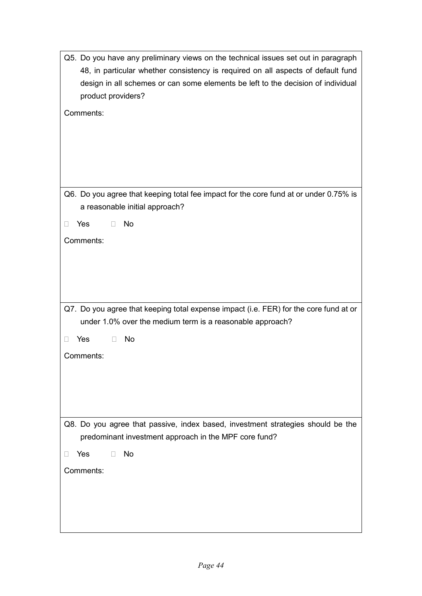| Q5. Do you have any preliminary views on the technical issues set out in paragraph                                                                 |
|----------------------------------------------------------------------------------------------------------------------------------------------------|
| 48, in particular whether consistency is required on all aspects of default fund                                                                   |
| design in all schemes or can some elements be left to the decision of individual<br>product providers?                                             |
| Comments:                                                                                                                                          |
|                                                                                                                                                    |
|                                                                                                                                                    |
|                                                                                                                                                    |
|                                                                                                                                                    |
| Q6. Do you agree that keeping total fee impact for the core fund at or under 0.75% is                                                              |
| a reasonable initial approach?                                                                                                                     |
| No<br>Yes<br>$\Box$<br>$\Box$                                                                                                                      |
| Comments:                                                                                                                                          |
|                                                                                                                                                    |
|                                                                                                                                                    |
|                                                                                                                                                    |
|                                                                                                                                                    |
| Q7. Do you agree that keeping total expense impact (i.e. FER) for the core fund at or<br>under 1.0% over the medium term is a reasonable approach? |
|                                                                                                                                                    |
| Yes<br><b>No</b><br>П                                                                                                                              |
| Comments:                                                                                                                                          |
|                                                                                                                                                    |
|                                                                                                                                                    |
|                                                                                                                                                    |
| Q8. Do you agree that passive, index based, investment strategies should be the<br>predominant investment approach in the MPF core fund?           |
| <b>No</b><br>Yes<br>П                                                                                                                              |
| Comments:                                                                                                                                          |
|                                                                                                                                                    |
|                                                                                                                                                    |
|                                                                                                                                                    |
|                                                                                                                                                    |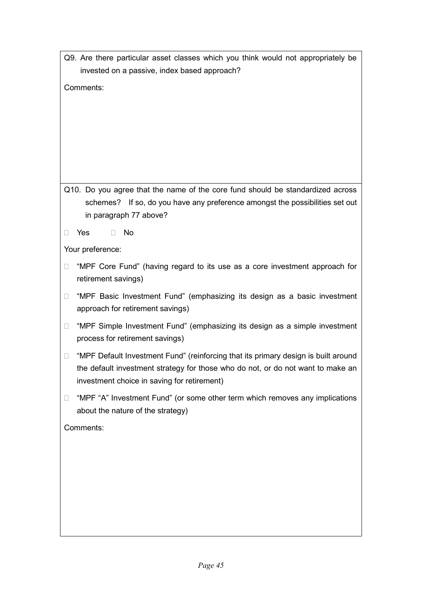|        | Q9. Are there particular asset classes which you think would not appropriately be<br>invested on a passive, index based approach?                                                                                    |
|--------|----------------------------------------------------------------------------------------------------------------------------------------------------------------------------------------------------------------------|
|        | Comments:                                                                                                                                                                                                            |
|        |                                                                                                                                                                                                                      |
|        |                                                                                                                                                                                                                      |
|        |                                                                                                                                                                                                                      |
|        |                                                                                                                                                                                                                      |
|        | Q10. Do you agree that the name of the core fund should be standardized across                                                                                                                                       |
|        | schemes? If so, do you have any preference amongst the possibilities set out                                                                                                                                         |
|        | in paragraph 77 above?                                                                                                                                                                                               |
| $\Box$ | <b>No</b><br>Yes<br>$\Box$                                                                                                                                                                                           |
|        | Your preference:                                                                                                                                                                                                     |
| $\Box$ | "MPF Core Fund" (having regard to its use as a core investment approach for<br>retirement savings)                                                                                                                   |
| $\Box$ | "MPF Basic Investment Fund" (emphasizing its design as a basic investment<br>approach for retirement savings)                                                                                                        |
| $\Box$ | "MPF Simple Investment Fund" (emphasizing its design as a simple investment<br>process for retirement savings)                                                                                                       |
| $\Box$ | "MPF Default Investment Fund" (reinforcing that its primary design is built around<br>the default investment strategy for those who do not, or do not want to make an<br>investment choice in saving for retirement) |
| □      | "MPF "A" Investment Fund" (or some other term which removes any implications<br>about the nature of the strategy)                                                                                                    |
|        | Comments:                                                                                                                                                                                                            |
|        |                                                                                                                                                                                                                      |
|        |                                                                                                                                                                                                                      |
|        |                                                                                                                                                                                                                      |
|        |                                                                                                                                                                                                                      |
|        |                                                                                                                                                                                                                      |
|        |                                                                                                                                                                                                                      |

**r**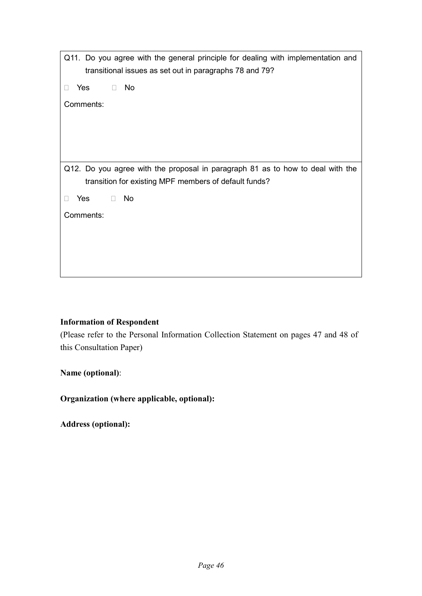| Q11. Do you agree with the general principle for dealing with implementation and                                                        |
|-----------------------------------------------------------------------------------------------------------------------------------------|
| transitional issues as set out in paragraphs 78 and 79?                                                                                 |
| No<br>Yes<br>$\Box$                                                                                                                     |
| Comments:                                                                                                                               |
|                                                                                                                                         |
|                                                                                                                                         |
|                                                                                                                                         |
|                                                                                                                                         |
| Q12. Do you agree with the proposal in paragraph 81 as to how to deal with the<br>transition for existing MPF members of default funds? |
| Yes<br><b>No</b><br>$\Box$                                                                                                              |
| Comments:                                                                                                                               |
|                                                                                                                                         |
|                                                                                                                                         |
|                                                                                                                                         |
|                                                                                                                                         |

#### **Information of Respondent**

(Please refer to the Personal Information Collection Statement on pages 47 and 48 of this Consultation Paper)

**Name (optional)**:

**Organization (where applicable, optional):**

**Address (optional):**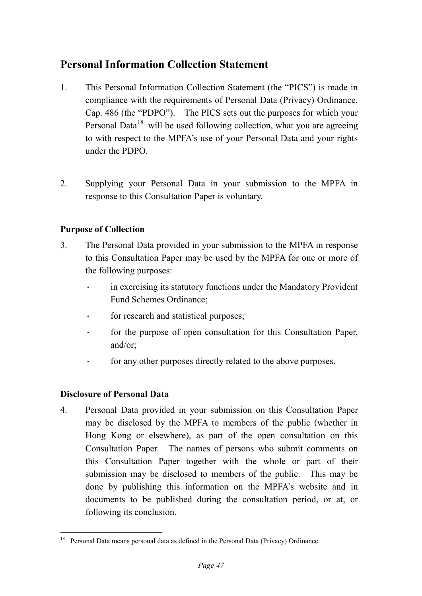# <span id="page-48-0"></span>**Personal Information Collection Statement**

- 1. This Personal Information Collection Statement (the "PICS") is made in compliance with the requirements of Personal Data (Privacy) Ordinance, Cap. 486 (the "PDPO"). The PICS sets out the purposes for which your Personal Data<sup>[18](#page-29-0)</sup> will be used following collection, what you are agreeing to with respect to the MPFA's use of your Personal Data and your rights under the PDPO.
- 2. Supplying your Personal Data in your submission to the MPFA in response to this Consultation Paper is voluntary.

### **Purpose of Collection**

- 3. The Personal Data provided in your submission to the MPFA in response to this Consultation Paper may be used by the MPFA for one or more of the following purposes:
	- in exercising its statutory functions under the Mandatory Provident Fund Schemes Ordinance;
	- · for research and statistical purposes;
	- · for the purpose of open consultation for this Consultation Paper, and/or;
	- · for any other purposes directly related to the above purposes.

#### **Disclosure of Personal Data**

4. Personal Data provided in your submission on this Consultation Paper may be disclosed by the MPFA to members of the public (whether in Hong Kong or elsewhere), as part of the open consultation on this Consultation Paper. The names of persons who submit comments on this Consultation Paper together with the whole or part of their submission may be disclosed to members of the public. This may be done by publishing this information on the MPFA's website and in documents to be published during the consultation period, or at, or following its conclusion.

 <sup>18</sup> Personal Data means personal data as defined in the Personal Data (Privacy) Ordinance.